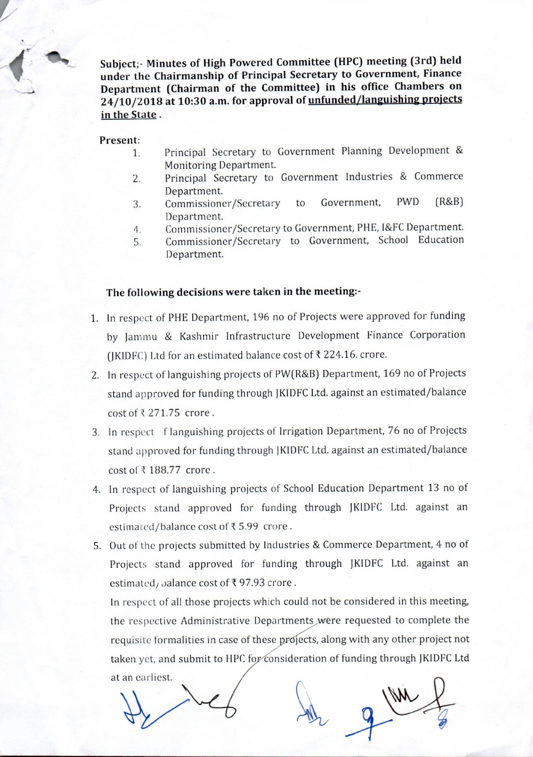Subject;- Minutes of High Powered Committee (HPC) meeting (3rd) held under the Chairmanship of Principal Secretary to Government, Finance Department (Chairman of the Committee) in his office Chambers on 24/10/2018 at 10:30 a.m. for approval of unfunded/languishing projects in the State.

Present:

- Principal Secretary to Government Planning Development &  $1.$ Monitoring Department.
- Principal Secretary to Government Industries & Commerce 2. Department.
- $(R&B)$ Commissioner/Secretary to Government, **PWD** 3. Department.
- Commissioner/Secretary to Government, PHE, I&FC Department.  $4.$
- Commissioner/Secretary to Government, School Education 5. Department.

## The following decisions were taken in the meeting:-

- 1. In respect of PHE Department, 196 no of Projects were approved for funding by Jammu & Kashmir Infrastructure Development Finance Corporation (IKIDFC) Ltd for an estimated balance cost of  $\bar{\tau}$  224.16. crore.
- 2. In respect of languishing projects of PW(R&B) Department, 169 no of Projects stand approved for funding through JKIDFC Ltd. against an estimated/balance cost of ₹ 271.75 crore.
- 3. In respect flanguishing projects of Irrigation Department, 76 no of Projects stand approved for funding through JKIDFC Ltd. against an estimated/balance cost of  $3188.77$  crore.
- 4. In respect of languishing projects of School Education Department 13 no of Projects stand approved for funding through JKIDFC Ltd. against an estimated/balance cost of ₹5.99 crore.
- 5. Out of the projects submitted by Industries & Commerce Department, 4 no of Projects stand approved for funding through JKIDFC Ltd. against an estimated, balance cost of ₹97.93 crore.

In respect of all those projects which could not be considered in this meeting, the respective Administrative Departments were requested to complete the requisite formalities in case of these projects, along with any other project not taken yet, and submit to HPC for consideration of funding through JKIDFC Ltd at an earliest.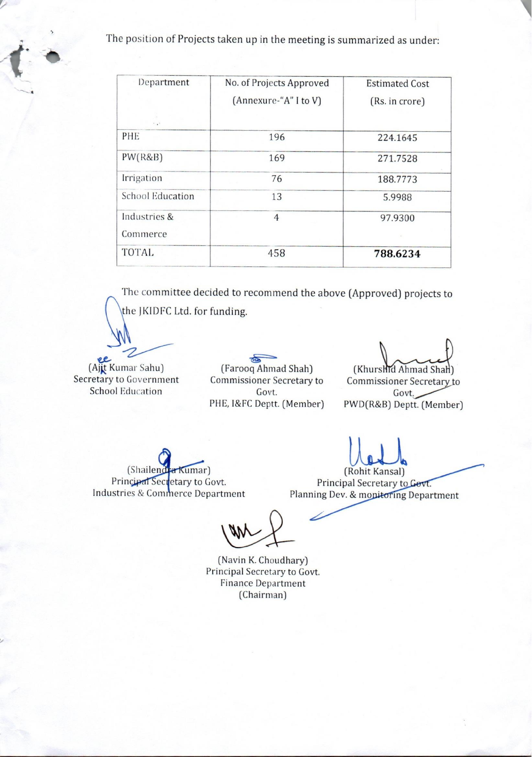The position of Projects taken up in the meeting is summarized as under:

| Department<br>$\cdot$ .  | No. of Projects Approved<br>(Annexure-"A" I to V) | <b>Estimated Cost</b><br>(Rs. in crore) |
|--------------------------|---------------------------------------------------|-----------------------------------------|
| PHE                      | 196                                               | 224.1645                                |
| PW(R&B)                  | 169                                               | 271.7528                                |
| Irrigation               | 76                                                | 188.7773                                |
| <b>School Education</b>  | 13                                                | 5.9988                                  |
| Industries &<br>Commerce | 4                                                 | 97.9300                                 |
| <b>TOTAL</b>             | 458                                               | 788.6234                                |

The committee decided to recommend the above (Approved) projects to the JKIDFC Ltd. for funding.

(Ajit Kumar Sahu) Secretary to Government **School Education** 

 $\frac{1}{\sqrt{2}}$ (Farooq Ahmad Shah) **Commissioner Secretary to** Govt. PHE, I&FC Deptt. (Member)

(Khurshid Ahmad Shah) Commissioner Secretary to Govt. PWD(R&B) Deptt. (Member)

(Shailenc a Kumar) Principal Secretary to Govt. Industries & Commerce Department

(Rohit Kansal)

Principal Secretary to Govt. Planning Dev. & monitoring Department

(Navin K. Choudhary) Principal Secretary to Govt. **Finance Department** (Chairman)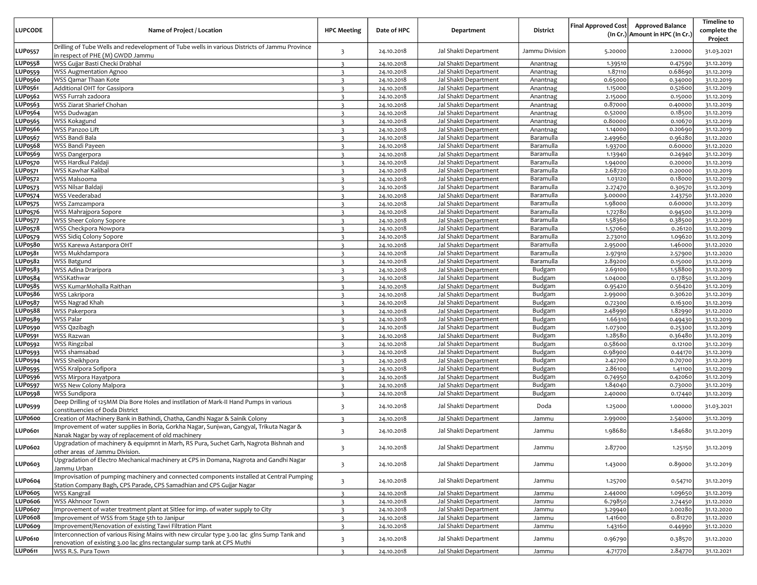| <b>LUPCODE</b> | Name of Project / Location                                                                                                                                            | <b>HPC Meeting</b>      | Date of HPC | Department            | <b>District</b> | Final Approved Cost | <b>Approved Balance</b><br>(In Cr.) Amount in HPC (In Cr.) | <b>Timeline to</b><br>complete the<br>Project |
|----------------|-----------------------------------------------------------------------------------------------------------------------------------------------------------------------|-------------------------|-------------|-----------------------|-----------------|---------------------|------------------------------------------------------------|-----------------------------------------------|
| <b>LUP0557</b> | Drilling of Tube Wells and redevelopment of Tube wells in various Districts of Jammu Province<br>in respect of PHE (M) GWDD Jammu                                     | $\overline{\mathbf{3}}$ | 24.10.2018  | Jal Shakti Department | Jammu Division  | 5.20000             | 2.20000                                                    | 31.03.2021                                    |
| <b>LUP0558</b> | WSS Gujjar Basti Checki Drabhal                                                                                                                                       | $\overline{3}$          | 24.10.2018  | Jal Shakti Department | Anantnag        | 1.39510             | 0.47590                                                    | 31.12.2019                                    |
| <b>LUP0559</b> | WSS Augmentation Agnoo                                                                                                                                                | $\overline{3}$          | 24.10.2018  | Jal Shakti Department | Anantnag        | 1.87110             | 0.68690                                                    | 31.12.2019                                    |
| LUPo560        | WSS Qamar Thaan Kote                                                                                                                                                  | $\overline{\mathbf{3}}$ | 24.10.2018  | Jal Shakti Department | Anantnag        | 0.65000             | 0.34000                                                    | 31.12.2019                                    |
| LUP0561        | Additional OHT for Gassipora                                                                                                                                          | $\overline{\mathbf{3}}$ | 24.10.2018  | Jal Shakti Department | Anantnag        | 1.15000             | 0.52600                                                    | 31.12.2019                                    |
| LUP0562        | WSS Furrah zadoora                                                                                                                                                    | $\overline{3}$          | 24.10.2018  | Jal Shakti Department | Anantnag        | 2.15000             | 0.15000                                                    | 31.12.2019                                    |
| LUP0563        | WSS Ziarat Sharief Chohan                                                                                                                                             | $\overline{3}$          | 24.10.2018  | Jal Shakti Department | Anantnag        | 0.87000             | 0.40000                                                    | 31.12.2019                                    |
| <b>LUP0564</b> | WSS Dudwagan                                                                                                                                                          | $\overline{3}$          | 24.10.2018  | Jal Shakti Department | Anantnag        | 0.52000             | 0.18500                                                    | 31.12.2019                                    |
| <b>LUP0565</b> | WSS Kokagund                                                                                                                                                          | $\overline{\mathbf{3}}$ | 24.10.2018  | Jal Shakti Department | Anantnag        | 0.80000             | 0.10670                                                    | 31.12.2019                                    |
| <b>LUP0566</b> | WSS Panzoo Lift                                                                                                                                                       | $\overline{\mathbf{3}}$ | 24.10.2018  | Jal Shakti Department | Anantnag        | 1.14000             | 0.20690                                                    | 31.12.2019                                    |
| <b>LUP0567</b> | WSS Bandi Bala                                                                                                                                                        | $\overline{\mathbf{3}}$ | 24.10.2018  | Jal Shakti Department | Baramulla       | 2.49960             | 0.96280                                                    | 31.12.2020                                    |
| <b>LUPo568</b> | WSS Bandi Payeen                                                                                                                                                      | $\overline{3}$          | 24.10.2018  | Jal Shakti Department | Baramulla       | 1.93700             | 0.60000                                                    | 31.12.2020                                    |
| <b>LUP0569</b> | WSS Dangerpora                                                                                                                                                        | $\overline{\mathbf{3}}$ | 24.10.2018  | Jal Shakti Department | Baramulla       | 1.13940             | 0.24940                                                    | 31.12.2019                                    |
| LUP0570        | WSS Hardkul Paldaji                                                                                                                                                   | $\overline{\mathbf{3}}$ | 24.10.2018  | Jal Shakti Department | Baramulla       | 1.94000             | 0.20000                                                    | 31.12.2019                                    |
| <b>LUP0571</b> | WSS Kawhar Kalibal                                                                                                                                                    | $\overline{3}$          | 24.10.2018  | Jal Shakti Department | Baramulla       | 2.68720             | 0.20000                                                    | 31.12.2019                                    |
| <b>LUP0572</b> | WSS Malsooma                                                                                                                                                          | $\overline{\mathbf{3}}$ | 24.10.2018  | Jal Shakti Department | Baramulla       | 1.03120             | 0.18000                                                    | 31.12.2019                                    |
| <b>LUP0573</b> | WSS Nilsar Baldaji                                                                                                                                                    | $\overline{3}$          | 24.10.2018  | Jal Shakti Department | Baramulla       | 2.27470             | 0.30570                                                    | 31.12.2019                                    |
| <b>LUP0574</b> | WSS Veederabad                                                                                                                                                        | $\overline{3}$          |             | Jal Shakti Department | Baramulla       | 3.00000             |                                                            | 31.12.2020                                    |
|                |                                                                                                                                                                       |                         | 24.10.2018  |                       |                 |                     | 2.43750                                                    |                                               |
| <b>LUP0575</b> | WSS Zamzampora                                                                                                                                                        | $\overline{3}$          | 24.10.2018  | Jal Shakti Department | Baramulla       | 1.98000             | 0.60000                                                    | 31.12.2019                                    |
| <b>LUP0576</b> | WSS Mahrajpora Sopore                                                                                                                                                 | $\overline{3}$          | 24.10.2018  | Jal Shakti Department | Baramulla       | 1.72780             | 0.94500                                                    | 31.12.2019                                    |
| <b>LUP0577</b> | WSS Sheer Colony Sopore                                                                                                                                               | $\overline{3}$          | 24.10.2018  | Jal Shakti Department | Baramulla       | 1.58360             | 0.38500                                                    | 31.12.2019                                    |
| <b>LUP0578</b> | WSS Checkpora Nowpora                                                                                                                                                 | 3                       | 24.10.2018  | Jal Shakti Department | Baramulla       | 1.57060             | 0.26120                                                    | 31.12.2019                                    |
| <b>LUP0579</b> | WSS Sidiq Colony Sopore                                                                                                                                               | $\overline{3}$          | 24.10.2018  | Jal Shakti Department | Baramulla       | 2.73010             | 1.09620                                                    | 31.12.2019                                    |
| LUP0580        | WSS Karewa Astanpora OHT                                                                                                                                              | $\overline{3}$          | 24.10.2018  | Jal Shakti Department | Baramulla       | 2.95000             | 1.46000                                                    | 31.12.2020                                    |
| LUP0581        | WSS Mukhdampora                                                                                                                                                       | $\overline{\mathbf{3}}$ | 24.10.2018  | Jal Shakti Department | Baramulla       | 2.97910             | 2.57900                                                    | 31.12.2020                                    |
| LUP0582        | <b>WSS Batgund</b>                                                                                                                                                    | $\overline{\mathbf{3}}$ | 24.10.2018  | Jal Shakti Department | Baramulla       | 2.89200             | 0.15000                                                    | 31.12.2019                                    |
| LUP0583        | WSS Adina Draripora                                                                                                                                                   | $\overline{\mathbf{3}}$ | 24.10.2018  | Jal Shakti Department | Budgam          | 2.69100             | 1.58800                                                    | 31.12.2019                                    |
| <b>LUP0584</b> | WSSKathwar                                                                                                                                                            | $\overline{3}$          | 24.10.2018  | Jal Shakti Department | Budgam          | 1.04000             | 0.17850                                                    | 31.12.2019                                    |
| LUP0585        | WSS KumarMohalla Raithan                                                                                                                                              | $\overline{\mathbf{3}}$ | 24.10.2018  | Jal Shakti Department | Budgam          | 0.95420             | 0.56420                                                    | 31.12.2019                                    |
| <b>LUP0586</b> | WSS Lakripora                                                                                                                                                         | $\overline{\mathbf{3}}$ | 24.10.2018  | Jal Shakti Department | Budgam          | 2.99000             | 0.30620                                                    | 31.12.2019                                    |
| LUP0587        | WSS Nagrad Khah                                                                                                                                                       | $\overline{\mathbf{3}}$ | 24.10.2018  | Jal Shakti Department | Budgam          | 0.72300             | 0.16300                                                    | 31.12.2019                                    |
| <b>LUPo588</b> | WSS Pakerpora                                                                                                                                                         | $\overline{3}$          | 24.10.2018  | Jal Shakti Department | Budgam          | 2.48990             | 1.82990                                                    | 31.12.2020                                    |
| LUP0589        | <b>WSS Palar</b>                                                                                                                                                      | $\overline{3}$          | 24.10.2018  | Jal Shakti Department | Budgam          | 1.66310             | 0.49430                                                    | 31.12.2019                                    |
| LUP0590        | WSS Qazibagh                                                                                                                                                          | $\overline{3}$          | 24.10.2018  | Jal Shakti Department | Budgam          | 1.07300             | 0.25300                                                    | 31.12.2019                                    |
| LUP0591        | WSS Razwan                                                                                                                                                            | $\overline{3}$          | 24.10.2018  | Jal Shakti Department | Budgam          | 1.28580             | 0.36480                                                    | 31.12.2019                                    |
| <b>LUP0592</b> | <b>WSS Ringzibal</b>                                                                                                                                                  | $\overline{3}$          | 24.10.2018  | Jal Shakti Department | Budgam          | 0.58600             | 0.12100                                                    | 31.12.2019                                    |
| <b>LUP0593</b> | WSS shamsabad                                                                                                                                                         | $\overline{\mathbf{3}}$ | 24.10.2018  | Jal Shakti Department | Budgam          | 0.98900             | 0.44170                                                    | 31.12.2019                                    |
| <b>LUP0594</b> | WSS Sheikhpora                                                                                                                                                        | $\overline{\mathbf{3}}$ | 24.10.2018  | Jal Shakti Department | Budgam          | 2.42700             | 0.70700                                                    | 31.12.2019                                    |
| <b>LUP0595</b> | WSS Kralpora Sofipora                                                                                                                                                 | $\overline{3}$          | 24.10.2018  | Jal Shakti Department | Budgam          | 2.86100             | 1.41100                                                    | 31.12.2019                                    |
| <b>LUP0596</b> | WSS Mirpora Hayatpora                                                                                                                                                 | $\overline{\mathbf{3}}$ | 24.10.2018  | Jal Shakti Department | Budgam          | 0.74950             | 0.42060                                                    | 31.12.2019                                    |
| LUP0597        | WSS New Colony Malpora                                                                                                                                                | $\overline{3}$          | 24.10.2018  | Jal Shakti Department | Budgam          | 1.84040             | 0.73000                                                    | 31.12.2019                                    |
| <b>LUP0598</b> | <b>WSS Sundipora</b>                                                                                                                                                  | $\overline{\mathbf{3}}$ | 24.10.2018  | Jal Shakti Department | Budgam          | 2.40000             | 0.17440                                                    | 31.12.2019                                    |
| <b>LUP0599</b> | Deep Drilling of 125MM Dia Bore Holes and instllation of Mark-II Hand Pumps in various<br>constituencies of Doda District                                             | 3                       | 24.10.2018  | Jal Shakti Department | Doda            | 1.25000             | 1.00000                                                    | 31.03.2021                                    |
| LUP0600        | Creation of Machinery Bank in Bathindi, Chatha, Gandhi Nagar & Sainik Colony                                                                                          | $\overline{3}$          | 24.10.2018  | Jal Shakti Department | Jammu           | 2.99000             | 2.54000                                                    | 31.12.2019                                    |
| LUPo601        | Improvement of water supplies in Boria, Gorkha Nagar, Sunjwan, Gangyal, Trikuta Nagar &<br>Nanak Nagar by way of replacement of old machinery                         | $\overline{\mathbf{3}}$ | 24.10.2018  | Jal Shakti Department | Jammu           | 1.98680             | 1.84680                                                    | 31.12.2019                                    |
| <b>LUP0602</b> | Upgradation of machinery & equipmnt in Marh, RS Pura, Suchet Garh, Nagrota Bishnah and<br>other areas of Jammu Division.                                              | 3                       | 24.10.2018  | Jal Shakti Department | Jammu           | 2.87700             | 1.25150                                                    | 31.12.2019                                    |
| LUP0603        | Upgradation of Electro Mechanical machinery at CPS in Domana, Nagrota and Gandhi Nagar<br>Jammu Urban                                                                 | $\overline{\mathbf{3}}$ | 24.10.2018  | Jal Shakti Department | Jammu           | 1.43000             | 0.89000                                                    | 31.12.2019                                    |
| LUPo604        | Improvisation of pumping machinery and connected components installed at Central Pumping<br>Station Company Bagh, CPS Parade, CPS Samadhian and CPS Gujjar Nagar      | $\overline{3}$          | 24.10.2018  | Jal Shakti Department | Jammu           | 1.25700             | 0.54710                                                    | 31.12.2019                                    |
|                |                                                                                                                                                                       |                         |             |                       |                 |                     |                                                            |                                               |
| LUP0605        | <b>WSS Kangrail</b>                                                                                                                                                   | $\overline{3}$          | 24.10.2018  | Jal Shakti Department | Jammu           | 2.44000             | 1.09650                                                    | 31.12.2019                                    |
| LUP0606        | WSS Akhnoor Town                                                                                                                                                      | $\overline{3}$          | 24.10.2018  | Jal Shakti Department | Jammu           | 6.79850             | 2.74450                                                    | 31.12.2020                                    |
| <b>LUP0607</b> | Improvement of water treatment plant at Sitlee for imp. of water supply to City                                                                                       | $\overline{3}$          | 24.10.2018  | Jal Shakti Department | Jammu           | 3.29940             | 2.00280                                                    | 31.12.2020                                    |
| LUPo6o8        | Improvement of WSS from Stage 5th to Janipur                                                                                                                          | 3                       | 24.10.2018  | Jal Shakti Department | Jammu           | 1.41600             | 0.81270                                                    | 31.12.2020                                    |
| LUPo6o9        | Improvement/Renovation of existing Tawi Filtration Plant                                                                                                              | $\overline{3}$          | 24.10.2018  | Jal Shakti Department | Jammu           | 1.43160             | 0.44990                                                    | 31.12.2020                                    |
| <b>LUP0610</b> | Interconnection of various Rising Mains with new circular type 3.00 lac glns Sump Tank and<br>renovation of existing 3.00 lac glns rectangular sump tank at CPS Muthi | $\overline{\mathbf{3}}$ | 24.10.2018  | Jal Shakti Department | Jammu           | 0.96790             | 0.38570                                                    | 31.12.2020                                    |
| <b>LUP0611</b> | WSS R.S. Pura Town                                                                                                                                                    | $\overline{3}$          | 24.10.2018  | Jal Shakti Department | Jammu           | 4.71770             | 2.84770                                                    | 31.12.2021                                    |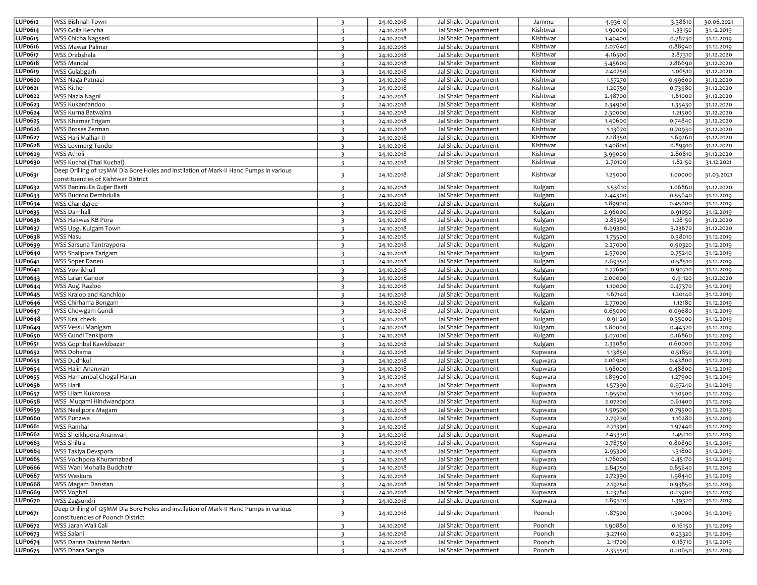| <b>LUP0612</b> | WSS Bishnah Town                                                                       | $\overline{3}$          | 24.10.2018 | Jal Shakti Department | Jammu    | 4.93610            | 3.38810 | 30.06.2021 |
|----------------|----------------------------------------------------------------------------------------|-------------------------|------------|-----------------------|----------|--------------------|---------|------------|
| <b>LUP0614</b> | WSS Goila Kencha                                                                       | $\overline{\mathbf{z}}$ | 24.10.2018 | Jal Shakti Department | Kishtwar | 1.90000            | 1.33150 | 31.12.2019 |
| LUP0615        | WSS Chicha Nagseni                                                                     | $\overline{\mathbf{3}}$ | 24.10.2018 | Jal Shakti Department | Kishtwar | 1.40400            | 0.78730 | 31.12.2019 |
| <b>LUPo616</b> | WSS Mawar Palmar                                                                       | $\overline{3}$          | 24.10.2018 | Jal Shakti Department | Kishtwar | 2.07640            | 0.88940 | 31.12.2019 |
| <b>LUP0617</b> | WSS Drabshala                                                                          | $\overline{\mathbf{3}}$ | 24.10.2018 | Jal Shakti Department | Kishtwar | 4.16500            | 2.87310 | 31.12.2020 |
| LUP0618        | WSS Mandal                                                                             | $\overline{\mathbf{3}}$ | 24.10.2018 | Jal Shakti Department | Kishtwar | 5.45600            | 2.86690 | 31.12.2020 |
| LUP0619        | WSS Gulabgarh                                                                          | $\overline{\mathbf{3}}$ | 24.10.2018 | Jal Shakti Department | Kishtwar | 2.40250            | 1.06510 | 31.12.2020 |
| <b>LUP0620</b> | WSS Naga Patnazi                                                                       | 3                       | 24.10.2018 | Jal Shakti Department | Kishtwar | 1.57270            | 0.99600 | 31.12.2020 |
| <b>LUP0621</b> | <b>WSS Kither</b>                                                                      | $\overline{\mathbf{3}}$ | 24.10.2018 | Jal Shakti Department | Kishtwar | 1.20750            | 0.73980 | 31.12.2020 |
| <b>LUP0622</b> | WSS Nazla Nagni                                                                        | $\overline{\mathbf{3}}$ | 24.10.2018 | Jal Shakti Department | Kishtwar | 2.48700            | 1.61000 | 31.12.2020 |
| LUP0623        | WSS Kukardandoo                                                                        | $\overline{\mathbf{z}}$ | 24.10.2018 | Jal Shakti Department | Kishtwar | 2.34900            | 1.35430 | 31.12.2020 |
| LUP0624        | WSS Kurna Batwalna                                                                     | $\overline{\mathbf{3}}$ | 24.10.2018 | Jal Shakti Department | Kishtwar | 2.30000            | 1.21500 | 31.12.2020 |
| LUP0625        | WSS Kharnar Trigam                                                                     | $\overline{3}$          | 24.10.2018 | Jal Shakti Department | Kishtwar | 1.40600            | 0.74840 | 31.12.2020 |
| LUP0626        | WSS Broses Zerman                                                                      | $\overline{\mathbf{3}}$ | 24.10.2018 | Jal Shakti Department | Kishtwar | 1.13670            | 0.70930 | 31.12.2020 |
| LUP0627        | WSS Hari Malhar-II                                                                     | 3                       | 24.10.2018 | Jal Shakti Department | Kishtwar | 2.28350            | 1.69260 | 31.12.2020 |
| LUP0628        | WSS Lovmerg Tunder                                                                     | $\overline{\mathbf{3}}$ | 24.10.2018 | Jal Shakti Department | Kishtwar | 1.40800            | 0.89910 | 31.12.2020 |
| <b>LUP0629</b> | WSS Atholi                                                                             | $\overline{\mathbf{3}}$ | 24.10.2018 | Jal Shakti Department | Kishtwar |                    | 2.80810 | 31.12.2020 |
| LUP0630        | WSS Kuchal (Thal Kuchal)                                                               | $\overline{\mathbf{3}}$ |            | Jal Shakti Department | Kishtwar | 3.99000<br>2.70100 | 1.82150 |            |
|                |                                                                                        |                         | 24.10.2018 |                       |          |                    |         | 31.12.2021 |
| LUP0631        | Deep Drilling of 125MM Dia Bore Holes and instllation of Mark-II Hand Pumps in various | $\overline{\mathbf{3}}$ | 24.10.2018 | Jal Shakti Department | Kishtwar | 1.25000            | 1.00000 | 31.03.2021 |
|                | constituencies of Kishtwar District                                                    |                         |            |                       |          |                    |         |            |
| LUP0632        | WSS Banimulla Gujjer Basti                                                             | $\overline{3}$          | 24.10.2018 | Jal Shakti Department | Kulgam   | 1.53610            | 1.06860 | 31.12.2020 |
| LUP0633        | WSS Budroo Dembdulla                                                                   | $\overline{\mathbf{3}}$ | 24.10.2018 | Jal Shakti Department | Kulgam   | 2.44300            | 0.55640 | 31.12.2019 |
| LUP0634        | WSS Chandgree                                                                          | $\overline{\mathbf{3}}$ | 24.10.2018 | Jal Shakti Department | Kulgam   | 1.89900            | 0.45000 | 31.12.2019 |
| LUP0635        | WSS Damhall                                                                            | $\overline{\mathbf{3}}$ | 24.10.2018 | Jal Shakti Department | Kulgam   | 2.96000            | 0.91050 | 31.12.2019 |
| LUP0636        | WSS Hakwas KB Pora                                                                     | в                       | 24.10.2018 | Jal Shakti Department | Kulgam   | 2.85250            | 1.28150 | 31.12.2020 |
| <b>LUP0637</b> | WSS Upg. Kulgam Town                                                                   | $\overline{\mathbf{3}}$ | 24.10.2018 | Jal Shakti Department | Kulgam   | 6.99300            | 3.23670 | 31.12.2020 |
| LUP0638        | <b>WSS Nasu</b>                                                                        | $\overline{\mathbf{z}}$ | 24.10.2018 | Jal Shakti Department | Kulgam   | 1.75500            | 0.38010 | 31.12.2019 |
| LUP0639        | WSS Sarsuna Tantraypora                                                                | $\overline{3}$          | 24.10.2018 | Jal Shakti Department | Kulgam   | 2.27000            | 0.90320 | 31.12.2019 |
| LUP0640        | WSS Shalipora Tarigam                                                                  | $\overline{3}$          | 24.10.2018 | Jal Shakti Department | Kulgam   | 2.57000            | 0.75240 | 31.12.2019 |
| <b>LUPo641</b> | <b>WSS Soper Daneu</b>                                                                 | $\overline{3}$          | 24.10.2018 | Jal Shakti Department | Kulgam   | 2.69350            | 0.58510 | 31.12.2019 |
| <b>LUP0642</b> | WSS Vovrikhull                                                                         | $\overline{\mathbf{3}}$ | 24.10.2018 | Jal Shakti Department | Kulgam   | 2.77690            | 0.90710 | 31.12.2019 |
| <b>LUP0643</b> | WSS Lalan Ganoor                                                                       | $\overline{\mathbf{3}}$ | 24.10.2018 | Jal Shakti Department | Kulgam   | 2.00000            | 0.91120 | 31.12.2020 |
| <b>LUPo644</b> | WSS Aug. Razloo                                                                        | $\overline{\mathbf{3}}$ | 24.10.2018 | Jal Shakti Department | Kulgam   | 1.10000            | 0.47370 | 31.12.2019 |
| <b>LUPo645</b> | WSS Kraloo and Kanchloo                                                                | $\overline{\mathbf{3}}$ | 24.10.2018 | Jal Shakti Department | Kulgam   | 1.67140            | 1.20140 | 31.12.2019 |
| <b>LUP0646</b> | WSS Chirhama Bongam                                                                    | $\overline{\mathbf{3}}$ | 24.10.2018 | Jal Shakti Department | Kulgam   | 2.77000            | 1.12180 | 31.12.2019 |
| <b>LUPo647</b> | WSS Chowgam Gundi                                                                      | $\overline{\mathbf{z}}$ | 24.10.2018 | Jal Shakti Department | Kulgam   | 0.65000            | 0.09680 | 31.12.2019 |
| <b>LUPo648</b> | WSS Kral check                                                                         | $\overline{3}$          | 24.10.2018 | Jal Shakti Department | Kulgam   | 0.91120            | 0.35000 | 31.12.2019 |
| <b>LUP0649</b> | WSS Vessu Manigam                                                                      | $\overline{3}$          | 24.10.2018 | Jal Shakti Department | Kulgam   | 1.80000            | 0.44320 | 31.12.2019 |
| <b>LUP0650</b> | WSS Gundi Tankipora                                                                    | $\overline{3}$          | 24.10.2018 | Jal Shakti Department | Kulgam   | 3.07000            | 0.16860 | 31.12.2019 |
| LUP0651        | WSS Gophbal Kawkibazar                                                                 | $\overline{\mathbf{3}}$ | 24.10.2018 | Jal Shakti Department | Kulgam   | 2.33080            | 0.60000 | 31.12.2019 |
| <b>LUP0652</b> | WSS Dohama                                                                             | $\overline{\mathbf{3}}$ | 24.10.2018 | Jal Shakti Department | Kupwara  | 1.13850            | 0.51850 | 31.12.2019 |
| LUP0653        | WSS Dudhkul                                                                            | $\overline{\mathbf{3}}$ | 24.10.2018 | Jal Shakti Department | Kupwara  | 2.06900            | 0.43800 | 31.12.2019 |
| <b>LUPo654</b> | WSS Hajin Ananwan                                                                      | $\overline{\mathbf{3}}$ | 24.10.2018 | Jal Shakti Department | Kupwara  | 1.98000            | 0.48800 | 31.12.2019 |
| LUP0655        | WSS Hamambal Chogal-Haran                                                              | $\overline{\mathbf{3}}$ | 24.10.2018 | Jal Shakti Department | Kupwara  | 1.89900            | 1.27900 | 31.12.2019 |
| <b>LUP0656</b> | WSS Haril                                                                              | $\overline{3}$          | 24.10.2018 | Jal Shakti Department | Kupwara  | 1.57390            | 0.97240 | 31.12.2019 |
| LUP0657        | WSS Lilam Kukroosa                                                                     | $\overline{3}$          | 24.10.2018 | Jal Shakti Department | Kupwara  | 1.95500            | 1.30500 | 31.12.2019 |
| <b>LUPo658</b> | WSS Muqami Hindwandpora                                                                | $\overline{3}$          | 24.10.2018 | Jal Shakti Department | Kupwara  | 2.07200            | 0.61400 | 31.12.2019 |
| <b>LUP0659</b> | WSS Neelipora Magam                                                                    | $\overline{\mathbf{3}}$ | 24.10.2018 | Jal Shakti Department | Kupwara  | 1.90500            | 0.79500 | 31.12.2019 |
| LUPo66o        | WSS Punzwa                                                                             | $\overline{\mathbf{3}}$ | 24.10.2018 | Jal Shakti Department | Kupwara  | 2.79230            | 1.16280 | 31.12.2019 |
| <b>LUPo661</b> | WSS Ramhal                                                                             | 3                       | 24.10.2018 | Jal Shakti Department | Kupwara  | 2.71390            | 1.97440 | 31.12.2019 |
| <b>LUPo662</b> | WSS Sheikhpora Ananwan                                                                 | $\overline{3}$          | 24.10.2018 | Jal Shakti Department | Kupwara  | 2.45330            | 1.45210 | 31.12.2019 |
| LUP0663        | WSS Shiltra                                                                            | $\overline{\mathbf{3}}$ | 24.10.2018 | Jal Shakti Department | Kupwara  | 2.78750            | 0.80890 | 31.12.2019 |
| <b>LUPo664</b> | WSS Takiya Devspora                                                                    | $\overline{3}$          | 24.10.2018 | Jal Shakti Department | Kupwara  | 2.95300            | 1.31800 | 31.12.2019 |
| <b>LUPo665</b> | WSS Vodhpora Khuramabad                                                                | $\overline{3}$          | 24.10.2018 | Jal Shakti Department | Kupwara  | 1.78000            | 0.45170 | 31.12.2019 |
| <b>LUPo666</b> | WSS Wani Mohalla Budchatri                                                             | $\overline{\mathbf{3}}$ | 24.10.2018 | Jal Shakti Department | Kupwara  | 2.84750            | 0.85640 | 31.12.2019 |
| <b>LUP0667</b> | WSS Waskura                                                                            | $\overline{3}$          | 24.10.2018 | Jal Shakti Department | Kupwara  | 2.72390            | 1.98440 | 31.12.2019 |
| <b>LUPo668</b> | WSS Magam Danstan                                                                      | $\overline{\mathbf{3}}$ | 24.10.2018 | Jal Shakti Department | Kupwara  | 2.19250            | 0.93850 | 31.12.2019 |
| <b>LUPo669</b> | WSS Vogbal                                                                             | $\overline{\mathbf{3}}$ | 24.10.2018 | Jal Shakti Department | Kupwara  | 1.23780            | 0.23900 | 31.12.2019 |
| LUPo670        | WSS Zagsundri                                                                          |                         |            | Jal Shakti Department |          |                    |         |            |
|                | Deep Drilling of 125MM Dia Bore Holes and instllation of Mark-II Hand Pumps in various | $\overline{\mathbf{3}}$ | 24.10.2018 |                       | Kupwara  | 2.89320            | 1.39320 | 31.12.2019 |
| LUP0671        |                                                                                        | $\overline{\mathbf{3}}$ | 24.10.2018 | Jal Shakti Department | Poonch   | 1.87500            | 1.50000 | 31.12.2019 |
|                | constituencies of Poonch District                                                      |                         |            |                       |          |                    |         |            |
| <b>LUP0672</b> | WSS Jaran Wali Gali                                                                    | $\overline{\mathbf{3}}$ | 24.10.2018 | Jal Shakti Department | Poonch   | 1.90880            | 0.16150 | 31.12.2019 |
| LUP0673        | WSS Salani                                                                             | $\overline{\mathbf{3}}$ | 24.10.2018 | Jal Shakti Department | Poonch   | 3.27140            | 0.23320 | 31.12.2019 |
| <b>LUP0674</b> | WSS Danna Dakhran Nerian                                                               | $\overline{\mathbf{3}}$ | 24.10.2018 | Jal Shakti Department | Poonch   | 2.11700            | 0.18710 | 31.12.2019 |
| <b>LUP0675</b> | WSS Dhara Sangla                                                                       | $\overline{\mathbf{3}}$ | 24.10.2018 | Jal Shakti Department | Poonch   | 2.35550            | 0.20650 | 31.12.2019 |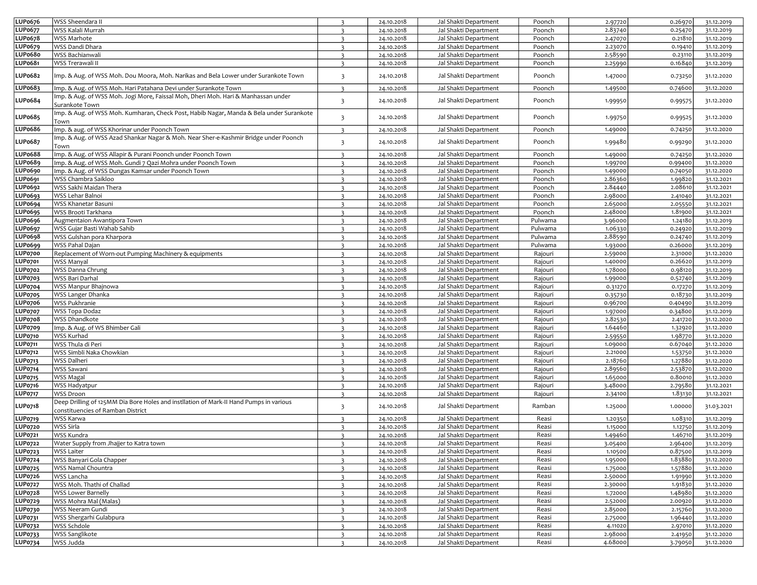| <b>LUPo676</b>  | WSS Sheendara II                                                                                                            | $\overline{3}$          | 24.10.2018 | Jal Shakti Department | Poonch  | 2.97720 | 0.26970 | 31.12.2019 |
|-----------------|-----------------------------------------------------------------------------------------------------------------------------|-------------------------|------------|-----------------------|---------|---------|---------|------------|
| <b>LUPo677</b>  | WSS Kalali Murrah                                                                                                           | $\overline{3}$          | 24.10.2018 | Jal Shakti Department | Poonch  | 2.83740 | 0.25470 | 31.12.2019 |
| <b>LUPo678</b>  | WSS Marhote                                                                                                                 | $\overline{3}$          | 24.10.2018 | Jal Shakti Department | Poonch  | 2.47070 | 0.21810 | 31.12.2019 |
| <b>LUP0679</b>  | WSS Dandi Dhara                                                                                                             | $\overline{3}$          | 24.10.2018 | Jal Shakti Department | Poonch  | 2.23070 | 0.19410 | 31.12.2019 |
| <b>LUP0680</b>  | WSS Bachianwali                                                                                                             | $\overline{3}$          | 24.10.2018 | Jal Shakti Department | Poonch  | 2.58590 | 0.23110 | 31.12.2019 |
| LUP0681         | WSS Trerawali II                                                                                                            | $\overline{\mathbf{3}}$ | 24.10.2018 | Jal Shakti Department | Poonch  | 2.25990 | 0.16840 | 31.12.2019 |
| LUP0682         | Imp. & Aug. of WSS Moh. Dou Moora, Moh. Narikas and Bela Lower under Surankote Town                                         | $\overline{\mathbf{3}}$ | 24.10.2018 | Jal Shakti Department | Poonch  | 1.47000 | 0.73250 | 31.12.2020 |
| LUP0683         | Imp. & Aug. of WSS Moh. Hari Patahana Devi under Surankote Town                                                             | $\overline{\mathbf{z}}$ | 24.10.2018 | Jal Shakti Department | Poonch  | 1.49500 | 0.74600 | 31.12.2020 |
| <b>LUPo684</b>  | Imp. & Aug. of WSS Moh. Jogi More, Faissal Moh, Dheri Moh. Hari & Manhassan under<br>Surankote Town                         | $\overline{\mathbf{3}}$ | 24.10.2018 | Jal Shakti Department | Poonch  | 1.99950 | 0.99575 | 31.12.2020 |
| LUP0685         | Imp. & Aug. of WSS Moh. Kumharan, Check Post, Habib Nagar, Manda & Bela under Surankote<br>Town                             | $\overline{\mathbf{3}}$ | 24.10.2018 | Jal Shakti Department | Poonch  | 1.99750 | 0.99525 | 31.12.2020 |
| <b>LUPo686</b>  | Imp. & aug. of WSS Khorinar under Poonch Town                                                                               | $\overline{3}$          | 24.10.2018 | Jal Shakti Department | Poonch  | 1.49000 | 0.74250 | 31.12.2020 |
|                 | Imp. & Aug. of WSS Azad Shankar Nagar & Moh. Near Sher-e-Kashmir Bridge under Poonch                                        |                         |            |                       |         |         |         |            |
| <b>LUPo687</b>  | Town                                                                                                                        | $\overline{\mathbf{3}}$ | 24.10.2018 | Jal Shakti Department | Poonch  | 1.99480 | 0.99290 | 31.12.2020 |
| <b>LUPo688</b>  | Imp. & Aug. of WSS Allapir & Purani Poonch under Poonch Town                                                                | $\overline{\mathbf{3}}$ | 24.10.2018 | Jal Shakti Department | Poonch  | 1.49000 | 0.74250 | 31.12.2020 |
| <b>LUPo689</b>  | Imp. & Aug. of WSS Moh. Gundi 7 Qazi Mohra under Poonch Town                                                                | $\overline{3}$          | 24.10.2018 | Jal Shakti Department | Poonch  | 1.99700 | 0.99400 | 31.12.2020 |
| LUPo690         | Imp. & Aug. of WSS Dungas Kamsar under Poonch Town                                                                          | $\overline{\mathbf{3}}$ | 24.10.2018 | Jal Shakti Department | Poonch  | 1.49000 | 0.74050 | 31.12.2020 |
| <b>LUP0691</b>  | WSS Chambra Saikloo                                                                                                         | $\overline{3}$          | 24.10.2018 | Jal Shakti Department | Poonch  | 2.86360 | 1.99820 | 31.12.2021 |
| LUP0692         | WSS Sakhi Maidan Thera                                                                                                      | $\overline{3}$          | 24.10.2018 | Jal Shakti Department | Poonch  | 2.84440 | 2.08610 | 31.12.2021 |
| LUP0693         | WSS Lehar Balnoi                                                                                                            | $\overline{3}$          | 24.10.2018 | Jal Shakti Department | Poonch  | 2.98000 | 2.41040 | 31.12.2021 |
| <b>LUP</b> 0694 | WSS Khanetar Basuni                                                                                                         | $\overline{3}$          | 24.10.2018 | Jal Shakti Department | Poonch  | 2.65000 | 2.05550 | 31.12.2021 |
| <b>LUP0695</b>  | WSS Brooti Tarkhana                                                                                                         | $\overline{\mathbf{3}}$ | 24.10.2018 | Jal Shakti Department | Poonch  | 2.48000 | 1.81900 | 31.12.2021 |
| <b>LUPo696</b>  | Augmentaion Awantipora Town                                                                                                 | $\overline{3}$          | 24.10.2018 | Jal Shakti Department | Pulwama | 3.96000 | 1.24180 | 31.12.2019 |
| <b>LUPo697</b>  | WSS Gujar Basti Wahab Sahib                                                                                                 | $\overline{3}$          | 24.10.2018 | Jal Shakti Department | Pulwama | 1.06330 | 0.24920 | 31.12.2019 |
| <b>LUPo698</b>  | WSS Gulshan pora Kharpora                                                                                                   | $\overline{\mathbf{3}}$ | 24.10.2018 | Jal Shakti Department | Pulwama | 2.88590 | 0.24740 | 31.12.2019 |
| <b>LUPo699</b>  | WSS Pahal Dajan                                                                                                             | $\overline{3}$          | 24.10.2018 | Jal Shakti Department | Pulwama | 1.93000 | 0.26000 | 31.12.2019 |
| LUP0700         | Replacement of Worn-out Pumping Machinery & equipments                                                                      | $\overline{3}$          | 24.10.2018 | Jal Shakti Department | Rajouri | 2.59000 | 2.31000 | 31.12.2020 |
| LUP0701         | WSS Manyal                                                                                                                  | $\overline{3}$          | 24.10.2018 | Jal Shakti Department | Rajouri | 1.40000 | 0.26620 | 31.12.2019 |
| <b>LUP0702</b>  | WSS Danna Chrung                                                                                                            | $\overline{3}$          | 24.10.2018 | Jal Shakti Department | Rajouri | 1.78000 | 0.98120 | 31.12.2019 |
| LUP0703         | WSS Bari Darhal                                                                                                             | $\overline{3}$          | 24.10.2018 | Jal Shakti Department | Rajouri | 1.99000 | 0.52740 | 31.12.2019 |
| <b>LUP0704</b>  | WSS Manpur Bhajnowa                                                                                                         | $\overline{3}$          | 24.10.2018 | Jal Shakti Department | Rajouri | 0.31270 | 0.17270 | 31.12.2019 |
| <b>LUP0705</b>  | WSS Langer Dhanka                                                                                                           | $\overline{3}$          | 24.10.2018 | Jal Shakti Department | Rajouri | 0.35730 | 0.18730 | 31.12.2019 |
| LUP0706         | WSS Pukhranie                                                                                                               | $\overline{3}$          | 24.10.2018 | Jal Shakti Department | Rajouri | 0.96700 | 0.40490 | 31.12.2019 |
| <b>LUP0707</b>  | <b>WSS Topa Dodaz</b>                                                                                                       | $\overline{3}$          | 24.10.2018 | Jal Shakti Department | Rajouri | 1.97000 | 0.34800 | 31.12.2019 |
| LUP0708         | WSS Dhandkote                                                                                                               | $\overline{3}$          | 24.10.2018 | Jal Shakti Department | Rajouri | 2.82530 | 2.41720 | 31.12.2020 |
| LUP0709         | Imp. & Aug. of WS Bhimber Gali                                                                                              | $\overline{3}$          | 24.10.2018 | Jal Shakti Department | Rajouri | 1.64460 | 1.32920 | 31.12.2020 |
| <b>LUP0710</b>  | WSS Kurhad                                                                                                                  | $\overline{\mathbf{3}}$ | 24.10.2018 | Jal Shakti Department | Rajouri | 2.59550 | 1.98770 | 31.12.2020 |
| <b>LUP0711</b>  | WSS Thula di Peri                                                                                                           | $\overline{\mathbf{3}}$ | 24.10.2018 | Jal Shakti Department | Rajouri | 1.09000 | 0.67040 | 31.12.2020 |
| LUP0712         | WSS Simbli Naka Chowkian                                                                                                    | $\overline{3}$          | 24.10.2018 | Jal Shakti Department | Rajouri | 2.21000 | 1.53750 | 31.12.2020 |
| LUP0713         | WSS Dalheri                                                                                                                 | $\overline{3}$          | 24.10.2018 | Jal Shakti Department | Rajouri | 2.18760 | 1.2788c | 31.12.2020 |
| <b>LUP0714</b>  | WSS Sawani                                                                                                                  | $\overline{\mathbf{3}}$ | 24.10.2018 | Jal Shakti Department | Rajouri | 2.89560 | 2.53870 | 31.12.2020 |
| <b>LUP0715</b>  | WSS Magal                                                                                                                   | $\overline{\mathbf{3}}$ | 24.10.2018 | Jal Shakti Department | Rajouri | 1.65000 | 0.80010 | 31.12.2020 |
| <b>LUP0716</b>  | <b>WSS Hadyatpur</b>                                                                                                        | $\overline{3}$          | 24.10.2018 | Jal Shakti Department | Rajouri | 3.48000 | 2.79580 | 31.12.2021 |
| <b>LUP0717</b>  | WSS Droon                                                                                                                   | $\overline{3}$          | 24.10.2018 | Jal Shakti Department | Rajouri | 2.34100 | 1.83130 | 31.12.2021 |
| <b>LUP0718</b>  | Deep Drilling of 125MM Dia Bore Holes and instllation of Mark-II Hand Pumps in various<br>constituencies of Ramban District | $\overline{\mathbf{3}}$ | 24.10.2018 | Jal Shakti Department | Ramban  | 1.25000 | 1.00000 | 31.03.2021 |
| <b>LUP0719</b>  | WSS Karwa                                                                                                                   | $\overline{\mathbf{z}}$ | 24.10.2018 | Jal Shakti Department | Reasi   | 1.20350 | 1.08310 | 31.12.2019 |
| <b>LUP0720</b>  | WSS Sirla                                                                                                                   | $\overline{\mathbf{3}}$ | 24.10.2018 | Jal Shakti Department | Reasi   | 1.15000 | 1.12750 | 31.12.2019 |
| <b>LUP0721</b>  | WSS Kundra                                                                                                                  | $\overline{\mathbf{3}}$ | 24.10.2018 | Jal Shakti Department | Reasi   | 1.49460 | 1.46710 | 31.12.2019 |
| <b>LUP0722</b>  | Water Supply from Jhajjer to Katra town                                                                                     | $\overline{\mathbf{3}}$ | 24.10.2018 | Jal Shakti Department | Reasi   | 3.05400 | 2.96400 | 31.12.2019 |
| LUP0723         | <b>WSS Laiter</b>                                                                                                           | $\overline{\mathbf{3}}$ | 24.10.2018 | Jal Shakti Department | Reasi   | 1.10500 | 0.87500 | 31.12.2019 |
| <b>LUP0724</b>  | WSS Banyari Gola Chapper                                                                                                    | $\overline{\mathbf{3}}$ | 24.10.2018 | Jal Shakti Department | Reasi   | 1.95000 | 1.83880 | 31.12.2020 |
| <b>LUP0725</b>  | WSS Namal Chountra                                                                                                          | $\overline{\mathbf{3}}$ | 24.10.2018 | Jal Shakti Department | Reasi   | 1.75000 | 1.57880 | 31.12.2020 |
| <b>LUP0726</b>  | WSS Lancha                                                                                                                  | $\overline{\mathbf{3}}$ | 24.10.2018 | Jal Shakti Department | Reasi   | 2.50000 | 1.91990 | 31.12.2020 |
| <b>LUP0727</b>  | WSS Moh. Thathi of Challad                                                                                                  | $\overline{\mathbf{3}}$ | 24.10.2018 | Jal Shakti Department | Reasi   | 2.30000 | 1.91830 | 31.12.2020 |
| LUP0728         | <b>WSS Lower Barnelly</b>                                                                                                   | $\overline{\mathbf{3}}$ | 24.10.2018 | Jal Shakti Department | Reasi   | 1.72000 | 1.48980 | 31.12.2020 |
| <b>LUP0729</b>  | WSS Mohra Mal (Malas)                                                                                                       | $\overline{\mathbf{3}}$ | 24.10.2018 | Jal Shakti Department | Reasi   | 2.52000 | 2.00920 | 31.12.2020 |
| LUP0730         | WSS Neeram Gundi                                                                                                            | $\overline{\mathbf{3}}$ | 24.10.2018 | Jal Shakti Department | Reasi   | 2.85000 | 2.15760 | 31.12.2020 |
| LUP0731         | WSS Shergarhi Gulabpura                                                                                                     | $\overline{\mathbf{3}}$ | 24.10.2018 | Jal Shakti Department | Reasi   | 2.75000 | 1.96440 | 31.12.2020 |
| <b>LUP0732</b>  | WSS Schdole                                                                                                                 | $\overline{\mathbf{3}}$ | 24.10.2018 | Jal Shakti Department | Reasi   | 4.11020 | 2.97010 | 31.12.2020 |
| <b>LUP0733</b>  | WSS Sanglikote                                                                                                              | $\overline{3}$          | 24.10.2018 | Jal Shakti Department | Reasi   | 2.98000 | 2.41950 | 31.12.2020 |
| <b>LUP0734</b>  | WSS Judda                                                                                                                   | $\overline{3}$          | 24.10.2018 | Jal Shakti Department | Reasi   | 4.68000 | 3.79050 | 31.12.2020 |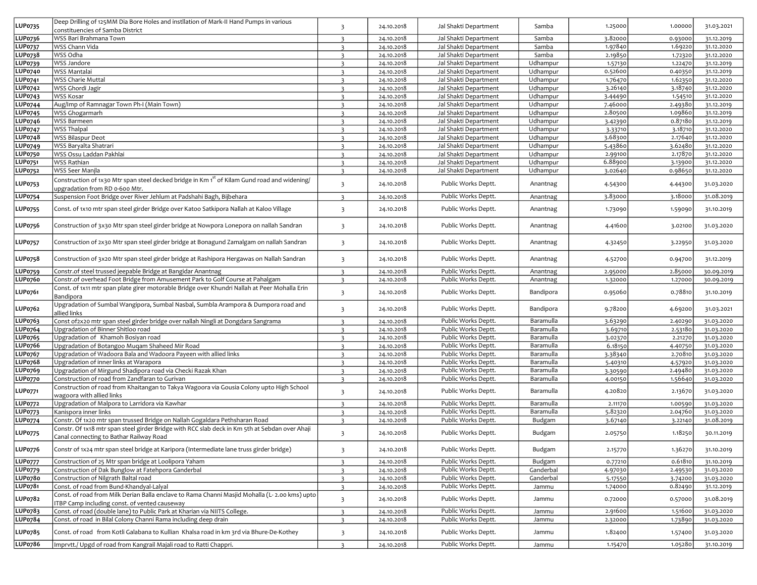| LUP0735                    | Deep Drilling of 125MM Dia Bore Holes and instllation of Mark-II Hand Pumps in various                                                     | $\overline{3}$          | 24.10.2018 | Jal Shakti Department | Samba     | 1.25000 | 1.00000 | 31.03.2021 |
|----------------------------|--------------------------------------------------------------------------------------------------------------------------------------------|-------------------------|------------|-----------------------|-----------|---------|---------|------------|
|                            | constituencies of Samba District                                                                                                           |                         |            |                       |           |         |         |            |
| LUP0736                    | WSS Bari Brahmana Town                                                                                                                     | $\overline{3}$          | 24.10.2018 | Jal Shakti Department | Samba     | 3.82000 | 0.93000 | 31.12.2019 |
| <b>LUP0737</b>             | WSS Chann Vida                                                                                                                             | $\overline{3}$          | 24.10.2018 | Jal Shakti Department | Samba     | 1.97840 | 1.69220 | 31.12.2020 |
| LUP0738                    | WSS Odha                                                                                                                                   | $\overline{3}$          | 24.10.2018 | Jal Shakti Department | Samba     | 2.19850 | 1.72320 | 31.12.2020 |
| <b>LUP0739</b>             | WSS Jandore                                                                                                                                | $\overline{\mathbf{3}}$ | 24.10.2018 | Jal Shakti Department | Udhampur  | 1.57130 | 1.22470 | 31.12.2019 |
| LUP0740                    | WSS Mantalai                                                                                                                               | $\overline{3}$          | 24.10.2018 | Jal Shakti Department | Udhampur  | 0.52600 | 0.40350 | 31.12.2019 |
| LUP0741                    | <b>WSS Charie Muttal</b>                                                                                                                   | $\overline{\mathbf{3}}$ | 24.10.2018 | Jal Shakti Department | Udhampur  | 1.76470 | 1.62350 | 31.12.2020 |
| <b>LUP0742</b>             | WSS Ghordi Jagir                                                                                                                           | $\overline{\mathbf{3}}$ | 24.10.2018 | Jal Shakti Department | Udhampur  | 3.26140 | 3.18740 | 31.12.2020 |
| <b>LUP0743</b>             | <b>WSS Kosar</b>                                                                                                                           | $\overline{3}$          | 24.10.2018 | Jal Shakti Department | Udhampur  | 3.44490 | 1.54510 | 31.12.2020 |
| <b>LUP0744</b>             | Aug/Imp of Ramnagar Town Ph-I (Main Town)                                                                                                  | $\overline{\mathbf{3}}$ | 24.10.2018 | Jal Shakti Department | Udhampur  | 7.46000 | 2.49380 | 31.12.2019 |
| <b>LUP0745</b>             | WSS Ghogarmarh                                                                                                                             | $\overline{\mathbf{3}}$ | 24.10.2018 | Jal Shakti Department | Udhampur  | 2.80500 | 1.09860 | 31.12.2019 |
| <b>LUP0746</b>             | <b>WSS Barmeen</b>                                                                                                                         | $\overline{\mathbf{3}}$ | 24.10.2018 | Jal Shakti Department | Udhampur  | 3.42390 | 0.87180 | 31.12.2019 |
|                            | <b>WSS Thalpal</b>                                                                                                                         |                         |            | Jal Shakti Department |           |         |         |            |
| <b>LUP0747</b>             |                                                                                                                                            | $\overline{3}$          | 24.10.2018 |                       | Udhampur  | 3.33710 | 3.18710 | 31.12.2020 |
| <b>LUP0748</b>             | <b>WSS Bilaspur Deot</b>                                                                                                                   | 3                       | 24.10.2018 | Jal Shakti Department | Udhampur  | 3.68300 | 2.17640 | 31.12.2020 |
| <b>LUP0749</b>             | WSS Baryalta Shatrari                                                                                                                      | $\overline{\mathbf{3}}$ | 24.10.2018 | Jal Shakti Department | Udhampur  | 5.43860 | 3.62480 | 31.12.2020 |
| <b>LUP0750</b>             | WSS Ossu Laddan Pakhlai                                                                                                                    | $\overline{\mathbf{3}}$ | 24.10.2018 | Jal Shakti Department | Udhampur  | 2.99100 | 2.17870 | 31.12.2020 |
| LUP0751                    | WSS Rathian                                                                                                                                | $\overline{\mathbf{3}}$ | 24.10.2018 | Jal Shakti Department | Udhampur  | 6.88900 | 3.13900 | 31.12.2020 |
| <b>LUP0752</b>             | WSS Seer Manjla                                                                                                                            | $\overline{3}$          | 24.10.2018 | Jal Shakti Department | Udhampur  | 3.02640 | 0.98650 | 31.12.2020 |
| <b>LUP0753</b>             | Construction of 1x30 Mtr span steel decked bridge in Km 1 <sup>st</sup> of Kilam Gund road and widening/<br>upgradation from RD 0-600 Mtr. | $\overline{\mathbf{3}}$ | 24.10.2018 | Public Works Deptt.   | Anantnag  | 4.54300 | 4.44300 | 31.03.2020 |
| <b>LUP0754</b>             | Suspension Foot Bridge over River Jehlum at Padshahi Bagh, Bijbehara                                                                       | $\overline{3}$          | 24.10.2018 | Public Works Deptt.   | Anantnag  | 3.83000 | 3.18000 | 31.08.2019 |
| <b>LUP0755</b>             | Const. of 1x10 mtr span steel girder Bridge over Katoo Satkipora Nallah at Kaloo Village                                                   | $\overline{\mathbf{3}}$ | 24.10.2018 | Public Works Deptt.   | Anantnag  | 1.73090 | 1.59090 | 31.10.2019 |
| <b>LUP0756</b>             | Construction of 3x30 Mtr span steel girder bridge at Nowpora Lonepora on nallah Sandran                                                    | $\overline{\mathbf{3}}$ | 24.10.2018 | Public Works Deptt.   | Anantnag  | 4.41600 | 3.02100 | 31.03.2020 |
| <b>LUP0757</b>             | Construction of 2x30 Mtr span steel girder bridge at Bonagund Zamalgam on nallah Sandran                                                   | $\overline{\mathbf{3}}$ | 24.10.2018 | Public Works Deptt.   | Anantnag  | 4.32450 | 3.22950 | 31.03.2020 |
| <b>LUP0758</b>             | Construction of 3x20 Mtr span steel girder bridge at Rashipora Hergawas on Nallah Sandran                                                  | $\overline{\mathbf{3}}$ | 24.10.2018 | Public Works Deptt.   | Anantnag  | 4.52700 | 0.94700 | 31.12.2019 |
| <b>LUPo759</b>             | Constr.of steel trussed jeepable Bridge at Bangidar Anantnag                                                                               | $\overline{\mathbf{3}}$ | 24.10.2018 | Public Works Deptt.   | Anantnag  | 2.95000 | 2.85000 | 30.09.2019 |
| LUPo760                    | Constr.of overhead Foot Bridge from Amusement Park to Golf Course at Pahalgam                                                              | $\overline{\mathbf{3}}$ | 24.10.2018 | Public Works Deptt.   | Anantnag  | 1.32000 | 1.27000 | 30.09.2019 |
| LUPo761                    | Const. of 1x11 mtr span plate girer motorable Bridge over Khundri Nallah at Peer Mohalla Erin<br>Bandipora                                 | $\overline{3}$          | 24.10.2018 | Public Works Deptt.   | Bandipora | 0.95060 | 0.78810 | 31.10.2019 |
| LUP0762                    | Upgradation of Sumbal Wangipora, Sumbal Nasbal, Sumbla Arampora & Dumpora road and<br>allied links                                         | $\overline{\mathbf{3}}$ | 24.10.2018 | Public Works Deptt.   | Bandipora | 9.78200 | 4.69200 | 31.03.2021 |
| LUP0763                    | Const of 2x20 mtr span steel girder bridge over nallah Ningli at Dongdara Sangrama                                                         | $\overline{\mathbf{3}}$ | 24.10.2018 | Public Works Deptt.   | Baramulla | 3.63290 | 2.40290 | 31.03.2020 |
| <b>LUPo764</b>             | Upgradation of Binner Shitloo road                                                                                                         | $\overline{3}$          | 24.10.2018 | Public Works Deptt.   | Baramulla | 3.69710 | 2.53180 | 31.03.2020 |
| LUP0765                    | Upgradation of Khamoh Bosiyan road                                                                                                         | $\overline{\mathbf{3}}$ | 24.10.2018 | Public Works Deptt.   | Baramulla | 3.02370 | 2.21270 | 31.03.2020 |
| <b>LUPo766</b>             | Upgradation of Botangoo Muqam Shaheed Mir Road                                                                                             | $\overline{3}$          | 24.10.2018 | Public Works Deptt.   | Baramulla | 6.18150 | 4.40750 | 31.03.2020 |
| LUP0767                    | Upgradation of Wadoora Bala and Wadoora Payeen with allied links                                                                           | $\overline{3}$          | 24.10.2018 | Public Works Deptt.   | Baramulla | 3.38340 | 2.70810 | 31.03.2020 |
| <b>LUPo768</b>             | Upgradation of inner links at Warapora                                                                                                     | $\overline{\mathbf{3}}$ | 24.10.2018 | Public Works Deptt.   | Baramulla | 5.40310 | 4.57920 | 31.03.2020 |
| <b>LUP0769</b>             | Upgradation of Mirgund Shadipora road via Checki Razak Khan                                                                                | $\overline{\mathbf{3}}$ | 24.10.2018 | Public Works Deptt.   | Baramulla | 3.30590 | 2.49480 | 31.03.2020 |
| LUP0770                    | Construction of road from Zandfaran to Gurivan                                                                                             | $\overline{3}$          | 24.10.2018 | Public Works Deptt.   | Baramulla | 4.00150 | 1.56640 | 31.03.2020 |
|                            | Construction of road from Khaitangan to Takya Wagoora via Gousia Colony upto High School                                                   |                         |            |                       |           |         |         |            |
| LUPo771                    | wagoora with allied links                                                                                                                  | $\overline{\mathbf{3}}$ | 24.10.2018 | Public Works Deptt.   | Baramulla | 4.20820 | 2.13670 | 31.03.2020 |
| <b>LUP0772</b>             | Upgradation of Malpora to Larridora via Kawhar                                                                                             | $\overline{\mathbf{3}}$ | 24.10.2018 | Public Works Deptt.   | Baramulla | 2.11170 | 1.00590 | 31.03.2020 |
| <b>LUP0773</b>             | Kanispora inner links                                                                                                                      | $\overline{\mathbf{3}}$ | 24.10.2018 | Public Works Deptt.   | Baramulla | 5.82320 | 2.04760 | 31.03.2020 |
| <b>LUP0774</b>             | Constr. Of 1x20 mtr span trussed Bridge on Nallah Gogaldara Pethsharan Road                                                                | $\overline{3}$          | 24.10.2018 | Public Works Deptt.   | Budgam    | 3.67140 | 3.22140 | 31.08.2019 |
| <b>LUP0775</b>             | Constr. Of 1x18 mtr span steel girder Bridge with RCC slab deck in Km 5th at Sebdan over Ahaji<br>Canal connecting to Bathar Railway Road  | $\overline{3}$          | 24.10.2018 | Public Works Deptt.   | Budgam    | 2.05750 | 1.18250 | 30.11.2019 |
| LUPo776                    | Constr of 1x24 mtr span steel bridge at Karipora (Intermediate lane truss girder bridge)                                                   | $\overline{\mathbf{3}}$ | 24.10.2018 | Public Works Deptt.   | Budgam    | 2.15770 | 1.36270 | 31.10.2019 |
| <b>LUP</b> <sub>0777</sub> | Construction of 25 Mtr span bridge at Loolipora Yaham                                                                                      | $\overline{3}$          | 24.10.2018 | Public Works Deptt.   | Budgam    | 0.77210 | 0.61810 | 31.10.2019 |
| <b>LUP0779</b>             | Construction of Dak Bunglow at Fatehpora Ganderbal                                                                                         | $\overline{\mathbf{3}}$ | 24.10.2018 | Public Works Deptt.   | Ganderbal | 4.97030 | 2.49530 | 31.03.2020 |
| LUP0780                    | Construction of Nilgrath Baltal road                                                                                                       | 3                       | 24.10.2018 | Public Works Deptt.   | Ganderbal | 5.17550 | 3.74200 | 31.03.2020 |
| LUP0781                    | Const. of road from Bund-Khandyal-Lalyal                                                                                                   | $\overline{3}$          | 24.10.2018 | Public Works Deptt.   | Jammu     | 1.74000 | 0.82490 | 31.12.2019 |
|                            | Const. of road from Milk Derian Balla enclave to Rama Channi Masjid Mohalla (L-2.00 kms) upto                                              |                         |            |                       |           |         |         |            |
| LUP0782                    | ITBP Camp including const. of vented causeway                                                                                              | $\overline{\mathbf{3}}$ | 24.10.2018 | Public Works Deptt.   | Jammu     | 0.72000 | 0.57000 | 31.08.2019 |
| LUP0783                    | Const. of road (double lane) to Public Park at Kharian via NIITS College.                                                                  | $\overline{\mathbf{3}}$ | 24.10.2018 | Public Works Deptt.   | Jammu     | 2.91600 | 1.51600 | 31.03.2020 |
| <b>LUP0784</b>             | Const. of road in Bilal Colony Channi Rama including deep drain                                                                            | $\overline{3}$          | 24.10.2018 | Public Works Deptt.   | Jammu     | 2.32000 | 1.73890 | 31.03.2020 |
| <b>LUP0785</b>             | Const. of road from Kotli Galabana to Kullian Khalsa road in km 3rd via Bhure-De-Kothey                                                    | 3                       | 24.10.2018 | Public Works Deptt.   | Jammu     | 1.82400 | 1.57400 | 31.03.2020 |
| <b>LUP0786</b>             | Imprvtt./ Upgd of road from Kangrail Majali road to Ratti Chappri.                                                                         | $\overline{3}$          | 24.10.2018 | Public Works Deptt.   | Jammu     | 1.15470 | 1.05280 | 31.10.2019 |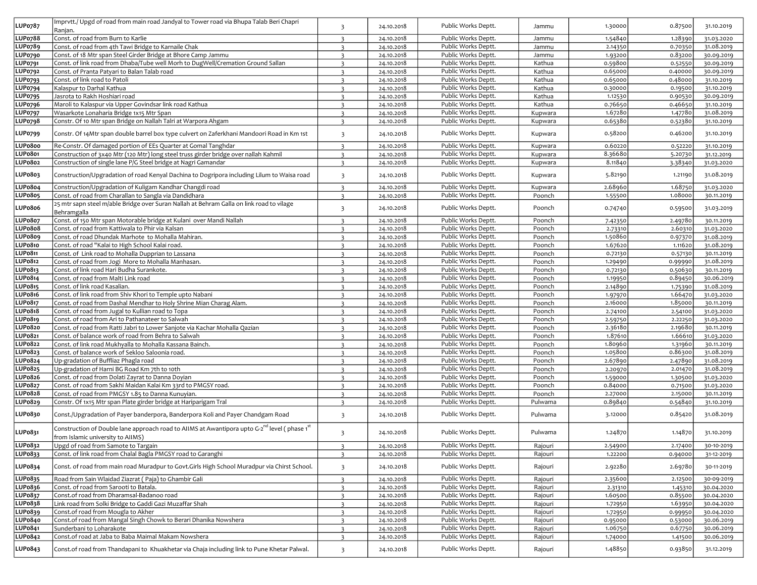| LUPo787        | Imprvtt./ Upgd of road from main road Jandyal to Tower road via Bhupa Talab Beri Chapri                                                                   |                         |            | Public Works Deptt. | Jammu   |         |         |            |
|----------------|-----------------------------------------------------------------------------------------------------------------------------------------------------------|-------------------------|------------|---------------------|---------|---------|---------|------------|
|                | Ranjan.                                                                                                                                                   | $\overline{3}$          | 24.10.2018 |                     |         | 1.30000 | 0.87500 | 31.10.2019 |
| <b>LUPo788</b> | Const. of road from Burn to Karlie                                                                                                                        | $\overline{3}$          | 24.10.2018 | Public Works Deptt. | Jammu   | 1.54840 | 1.28390 | 31.03.2020 |
| <b>LUPo789</b> | Const. of road from 4th Tawi Bridge to Karnaile Chak                                                                                                      | $\overline{\mathbf{3}}$ | 24.10.2018 | Public Works Deptt. | Jammu   | 2.14350 | 0.70350 | 31.08.2019 |
| LUP0790        | Const. of 18 Mtr span Steel Girder Bridge at Bhore Camp Jammu                                                                                             | $\overline{3}$          | 24.10.2018 | Public Works Deptt. | Jammu   | 1.93200 | 0.83200 | 30.09.2019 |
| <b>LUP0791</b> | Const. of link road from Dhaba/Tube well Morh to DugWell/Cremation Ground Sallan                                                                          | $\overline{3}$          | 24.10.2018 | Public Works Deptt. | Kathua  | 0.59800 | 0.52550 | 30.09.2019 |
| <b>LUP0792</b> | Const. of Pranta Patyari to Balan Talab road                                                                                                              | $\overline{3}$          | 24.10.2018 | Public Works Deptt. | Kathua  | 0.65000 | 0.40000 | 30.09.2019 |
| <b>LUP0793</b> | Const. of link road to Patoli                                                                                                                             | $\overline{3}$          | 24.10.2018 | Public Works Deptt. | Kathua  | 0.65000 | 0.48000 | 31.10.2019 |
| <b>LUP0794</b> | Kalaspur to Darhal Kathua                                                                                                                                 | $\overline{3}$          | 24.10.2018 | Public Works Deptt. | Kathua  | 0.30000 | 0.19500 | 31.10.2019 |
| <b>LUP0795</b> | Jasrota to Rakh Hoshiari road                                                                                                                             | $\overline{\mathbf{3}}$ | 24.10.2018 | Public Works Deptt. | Kathua  | 1.12530 | 0.90530 | 30.09.2019 |
| <b>LUP0796</b> | Maroli to Kalaspur via Upper Govindsar link road Kathua                                                                                                   | $\overline{3}$          | 24.10.2018 | Public Works Deptt. | Kathua  | 0.76650 | 0.46650 | 31.10.2019 |
| <b>LUP0797</b> | Wasarkote Lonaharia Bridge 1x15 Mtr Span                                                                                                                  | $\overline{3}$          | 24.10.2018 | Public Works Deptt. | Kupwara | 1.67280 | 1.47780 | 31.08.2019 |
| <b>LUP0798</b> | Constr. Of 10 Mtr span Bridge on Nallah Talri at Warpora Ahgam                                                                                            | $\overline{\mathbf{3}}$ | 24.10.2018 | Public Works Deptt. | Kupwara | 0.65380 | 0.52380 | 31.10.2019 |
| <b>LUP0799</b> | Constr. Of 14Mtr span double barrel box type culvert on Zaferkhani Mandoori Road in Km 1st                                                                | $\overline{\mathbf{3}}$ | 24.10.2018 | Public Works Deptt. | Kupwara | 0.58200 | 0.46200 | 31.10.2019 |
| LUP0800        | Re-Constr. Of damaged portion of EEs Quarter at Gomal Tanghdar                                                                                            | $\overline{3}$          | 24.10.2018 | Public Works Deptt. | Kupwara | 0.60220 | 0.52220 | 31.10.2019 |
| LUPo801        | Construction of 3x40 Mtr (120 Mtr) long steel truss girder bridge over nallah Kahmil                                                                      | $\overline{\mathbf{3}}$ | 24.10.2018 | Public Works Deptt. | Kupwara | 8.36680 | 5.20730 | 31.12.2019 |
| LUPo802        | Construction of single lane P/G Steel bridge at Nagri Gamandar                                                                                            | $\overline{\mathbf{3}}$ | 24.10.2018 | Public Works Deptt. | Kupwara | 8.11840 | 3.38340 | 31.03.2020 |
| LUP0803        | Construction/Upgradation of road Kenyal Dachina to Dogripora including Lilum to Waisa road                                                                | $\overline{\mathbf{3}}$ | 24.10.2018 | Public Works Deptt. | Kupwara | 5.82190 | 1.21190 | 31.08.2019 |
| <b>LUPo804</b> | Construction/Upgradation of Kuligam Kandhar Changdi road                                                                                                  | $\overline{\mathbf{3}}$ | 24.10.2018 | Public Works Deptt. | Kupwara | 2.68960 | 1.68750 | 31.03.2020 |
| <b>LUPo805</b> | Const. of road from Charallan to Sangla via Dandidhara                                                                                                    | $\overline{\mathbf{3}}$ | 24.10.2018 | Public Works Deptt. | Poonch  | 1.55500 | 1.08000 | 30.11.2019 |
| LUPo8o6        | 25 mtr sapn steel m/able Bridge over Suran Nallah at Behram Galla on link road to vilage<br>Behramgalla                                                   | $\overline{\mathbf{3}}$ | 24.10.2018 | Public Works Deptt. | Poonch  | 0.74740 | 0.59500 | 31.03.2019 |
| <b>LUPo807</b> | Const. of 150 Mtr span Motorable bridge at Kulani over Mandi Nallah                                                                                       | $\overline{3}$          | 24.10.2018 | Public Works Deptt. | Poonch  | 7.42350 | 2.49780 | 30.11.2019 |
| LUPo8o8        | Const. of road from Kattiwala to Phir via Kalsan                                                                                                          | $\overline{\mathbf{3}}$ | 24.10.2018 | Public Works Deptt. | Poonch  | 2.73310 | 2.60310 | 31.03.2020 |
| LUPo8o9        | Const. of road Dhundak Marhote to Mohalla Mahiran.                                                                                                        | $\overline{3}$          | 24.10.2018 | Public Works Deptt. | Poonch  | 1.50860 | 0.97370 | 31.08.2019 |
| <b>LUPo810</b> | Const. of road "Kalai to High School Kalai road.                                                                                                          | $\overline{\mathbf{3}}$ | 24.10.2018 | Public Works Deptt. | Poonch  | 1.67620 | 1.11620 | 31.08.2019 |
| LUP0811        | Const. of Link road to Mohalla Dupprian to Lassana                                                                                                        | $\overline{3}$          | 24.10.2018 | Public Works Deptt. | Poonch  | 0.72130 | 0.57130 | 30.11.2019 |
| LUP0812        | Const. of road from Jogi More to Mohalla Manhasan.                                                                                                        | $\overline{3}$          | 24.10.2018 | Public Works Deptt. | Poonch  | 1.29490 | 0.99990 | 31.08.2019 |
| LUP0813        | Const. of link road Hari Budha Surankote.                                                                                                                 | $\overline{\mathbf{3}}$ | 24.10.2018 | Public Works Deptt. | Poonch  | 0.72130 | 0.50630 | 30.11.2019 |
| LUPo814        | Const. of road from Malti Link road                                                                                                                       | $\overline{3}$          | 24.10.2018 | Public Works Deptt. | Poonch  | 1.19950 | 0.89450 | 30.06.2019 |
| LUP0815        | Const. of link road Kasalian.                                                                                                                             | $\overline{3}$          | 24.10.2018 | Public Works Deptt. | Poonch  | 2.14890 | 1.75390 | 31.08.2019 |
| <b>LUPo816</b> | Const. of link road from Shiv Khori to Temple upto Nabani                                                                                                 | $\overline{3}$          | 24.10.2018 | Public Works Deptt. | Poonch  | 1.97970 | 1.66470 | 31.03.2020 |
| <b>LUPo817</b> | Const. of road from Dashal Mendhar to Holy Shrine Mian Charag Alam.                                                                                       | $\overline{\mathbf{3}}$ | 24.10.2018 | Public Works Deptt. | Poonch  | 2.16000 | 1.85000 | 30.11.2019 |
| <b>LUPo818</b> | Const. of road from Jugal to Kullian road to Topa                                                                                                         | $\overline{\mathbf{3}}$ | 24.10.2018 | Public Works Deptt. | Poonch  | 2.74100 | 2.54100 | 31.03.2020 |
| <b>LUPo819</b> | Const. of road from Ari to Pathanateer to Salwah                                                                                                          | $\overline{\mathbf{3}}$ | 24.10.2018 | Public Works Deptt. | Poonch  | 2.59750 | 2.22250 | 31.03.2020 |
| <b>LUPo820</b> | Const. of road from Ratti Jabri to Lower Sanjote via Kachar Mohalla Qazian                                                                                | $\overline{\mathbf{3}}$ | 24.10.2018 | Public Works Deptt. | Poonch  | 2.36180 | 2.19680 | 30.11.2019 |
| LUP0821        | Const. of balance work of road from Behra to Salwah                                                                                                       | $\overline{\mathbf{3}}$ | 24.10.2018 | Public Works Deptt. | Poonch  | 1.87610 | 1.66610 | 31.03.2020 |
| LUP0822        | Const. of link road Mukhyalla to Mohalla Kassana Bainch.                                                                                                  | $\overline{3}$          | 24.10.2018 | Public Works Deptt. | Poonch  | 1.80960 | 1.31960 | 30.11.2019 |
| LUP0823        | Const. of balance work of Sekloo Saloonia road.                                                                                                           | $\overline{3}$          | 24.10.2018 | Public Works Deptt. | Poonch  | 1.05800 | 0.86300 | 31.08.2019 |
| LUP0824        | Up-gradation of Buffliaz Phagla road                                                                                                                      | $\overline{3}$          | 24.10.2018 | Public Works Deptt. | Poonch  | 2.67890 | 2.47890 | 31.08.2019 |
| LUPo825        | Up-gradation of Harni BG Road Km 7th to 10th                                                                                                              | $\overline{3}$          | 24.10.2018 | Public Works Deptt. | Poonch  | 2.20970 | 2.01470 | 31.08.2019 |
| LUPo826        | Const. of road from Dolati Zayrat to Danna Doyian                                                                                                         | $\overline{\mathbf{3}}$ | 24.10.2018 | Public Works Deptt. | Poonch  | 1.59000 | 1.30500 | 31.03.2020 |
| <b>LUPo827</b> | Const. of road from Sakhi Maidan Kalai Km 33rd to PMGSY road.                                                                                             | $\overline{\mathbf{3}}$ | 24.10.2018 | Public Works Deptt. | Poonch  | 0.84000 | 0.71500 | 31.03.2020 |
| LUPo828        | Const. of road from PMGSY 1.85 to Danna Kunuyian.                                                                                                         | $\overline{3}$          | 24.10.2018 | Public Works Deptt. | Poonch  | 2.27000 | 2.15000 | 30.11.2019 |
| LUP0829        | Constr. Of 1x15 Mtr span Plate girder bridge at Hariparigam Tral                                                                                          | $\overline{3}$          | 24.10.2018 | Public Works Deptt. | Pulwama | 0.89840 | 0.54840 | 31.10.2019 |
| LUP0830        | Const./Upgradation of Payer banderpora, Banderpora Koli and Payer Chandgam Road                                                                           | 3                       | 24.10.2018 | Public Works Deptt. | Pulwama | 3.12000 | 0.85420 | 31.08.2019 |
| LUP0831        | Construction of Double lane approach road to AIIMS at Awantipora upto G-2 <sup>nd</sup> level (phase 1 <sup>st</sup><br>from Islamic university to AIIMS) | $\overline{3}$          | 24.10.2018 | Public Works Deptt. | Pulwama | 1.24870 | 1.14870 | 31.10.2019 |
| LUP0832        | Upgd of road from Samote to Targain                                                                                                                       |                         | 24.10.2018 | Public Works Deptt. | Rajouri | 2.54900 | 2.17400 | 30-10-2019 |
| LUP0833        | Const. of link road from Chalal Bagla PMGSY road to Garanghi                                                                                              | $\overline{3}$          | 24.10.2018 | Public Works Deptt. | Rajouri | 1.22200 | 0.94000 | 31-12-2019 |
| LUP0834        | Const. of road from main road Muradpur to Govt. Girls High School Muradpur via Chirst School.                                                             | $\overline{3}$          | 24.10.2018 | Public Works Deptt. | Rajouri | 2.92280 | 2.69780 | 30-11-2019 |
| LUP0835        | Road from Sain Wlaidad Ziazrat (Paja) to Ghambir Gali                                                                                                     | $\overline{\mathbf{3}}$ | 24.10.2018 | Public Works Deptt. | Rajouri | 2.35600 | 2.12500 | 30-09-2019 |
| LUP0836        | Const. of road from Sarooti to Batala.                                                                                                                    | $\overline{3}$          | 24.10.2018 | Public Works Deptt. | Rajouri | 2.31310 | 1.45310 | 30.04.2020 |
| <b>LUPo837</b> | Const.of road from Dharamsal-Badanoo road                                                                                                                 | $\overline{3}$          | 24.10.2018 | Public Works Deptt. | Rajouri | 1.60500 | 0.85500 | 30.04.2020 |
| LUP0838        | Link road from Solki Bridge to Gaddi Gazi Muzaffar Shah                                                                                                   | $\overline{\mathbf{3}}$ | 24.10.2018 | Public Works Deptt. | Rajouri | 1.72950 | 1.63950 | 30.04.2020 |
| LUP0839        | Const.of road from Mougla to Akher                                                                                                                        | $\overline{\mathbf{3}}$ | 24.10.2018 | Public Works Deptt. | Rajouri | 1.72950 | 0.99950 | 30.04.2020 |
| LUPo840        | Const.of road from Mangal Singh Chowk to Berari Dhanika Nowshera                                                                                          | $\overline{\mathbf{3}}$ | 24.10.2018 | Public Works Deptt. | Rajouri | 0.95000 | 0.53000 | 30.06.2019 |
| <b>LUPo841</b> | Sunderbani to Loharakote                                                                                                                                  | $\overline{\mathbf{3}}$ | 24.10.2018 | Public Works Deptt. | Rajouri | 1.06750 | 0.67750 | 30.06.2019 |
| LUP0842        | Const.of road at Jaba to Baba Maimal Makam Nowshera                                                                                                       | $\overline{3}$          | 24.10.2018 | Public Works Deptt. | Rajouri | 1.74000 | 1.41500 | 30.06.2019 |
| LUP0843        | Const.of road from Thandapani to Khuakhetar via Chaja including link to Pune Khetar Palwal.                                                               | $\overline{3}$          | 24.10.2018 | Public Works Deptt. | Rajouri | 1.48850 | 0.93850 | 31.12.2019 |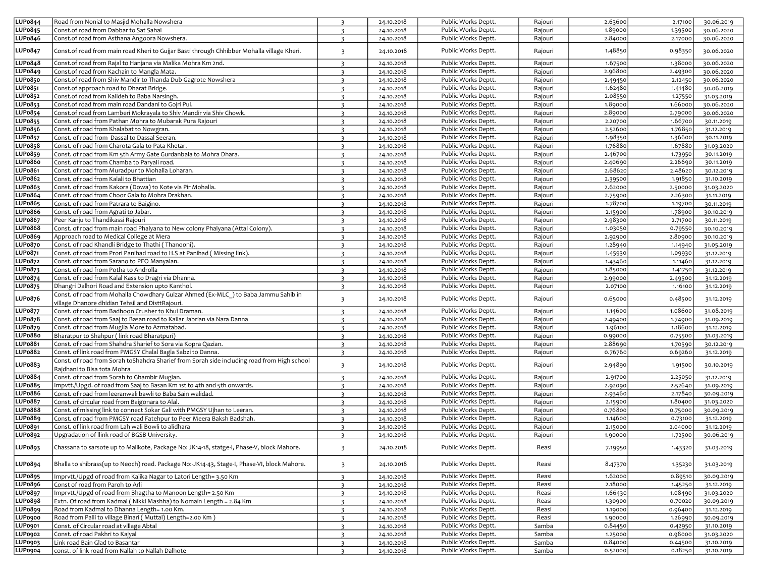| <b>LUPo844</b>            | Road from Nonial to Masjid Mohalla Nowshera                                                                                                                | $\overline{\mathbf{3}}$                            | 24.10.2018               | Public Works Deptt.                        | Rajouri            | 2.63600            | 2.17100            | 30.06.2019               |
|---------------------------|------------------------------------------------------------------------------------------------------------------------------------------------------------|----------------------------------------------------|--------------------------|--------------------------------------------|--------------------|--------------------|--------------------|--------------------------|
| <b>LUPo845</b>            | Const.of road from Dabbar to Sat Sahal                                                                                                                     | $\overline{\mathbf{3}}$                            | 24.10.2018               | Public Works Deptt.                        | Rajouri            | 1.89000            | 1.39500            | 30.06.2020               |
| <b>LUPo846</b>            | Const.of road from Asthana Angoora Nowshera.                                                                                                               | $\overline{3}$                                     | 24.10.2018               | Public Works Deptt.                        | Rajouri            | 2.84000            | 2.17000            | 30.06.2020               |
| <b>LUPo847</b>            | Const.of road from main road Kheri to Gujjar Basti through Chhibber Mohalla village Kheri.                                                                 | 3                                                  | 24.10.2018               | Public Works Deptt.                        | Rajouri            | 1.48850            | 0.98350            | 30.06.2020               |
| <b>LUPo848</b>            | Const.of road from Rajal to Hanjana via Malika Mohra Km 2nd.                                                                                               | $\overline{\mathbf{3}}$                            | 24.10.2018               | Public Works Deptt.                        | Rajouri            | 1.67500            | 1.38000            | 30.06.2020               |
| <b>LUPo849</b>            | Const.of road from Kachain to Mangla Mata.                                                                                                                 | $\overline{3}$                                     | 24.10.2018               | Public Works Deptt.                        | Rajouri            | 2.96800            | 2.49300            | 30.06.2020               |
| <b>LUP0850</b>            | Const.of road from Shiv Mandir to Thanda Dub Gagrote Nowshera                                                                                              | $\overline{\mathbf{3}}$                            | 24.10.2018               | Public Works Deptt.                        | Rajouri            | 2.49450            | 2.12450            | 30.06.2020               |
| LUPo851                   | Const.of approach road to Dharat Bridge.                                                                                                                   | $\overline{3}$                                     | 24.10.2018               | Public Works Deptt.                        | Rajouri            | 1.62480            | 1.41480            | 30.06.2019               |
| LUP0852                   | Const.of road from Kalideh to Baba Narsingh.                                                                                                               | $\overline{\mathbf{3}}$                            | 24.10.2018               | Public Works Deptt.                        | Rajouri            | 2.08550            | 1.27550            | 31.03.2019               |
| LUP0853                   | Const.of road from main road Dandani to Gojri Pul.                                                                                                         | $\overline{\mathbf{z}}$                            | 24.10.2018               | Public Works Deptt.                        | Rajouri            | 1.89000            | 1.66000            | 30.06.2020               |
| <b>LUPo854</b>            | Const.of road from Lamberi Mokrayala to Shiv Mandir via Shiv Chowk.                                                                                        | $\overline{\mathbf{3}}$                            | 24.10.2018               | Public Works Deptt.                        | Rajouri            | 2.89000            | 2.79000            | 30.06.2020               |
| <b>LUP0855</b>            | Const. of road from Pathan Mohra to Mubarak Pura Rajouri                                                                                                   | $\overline{\mathbf{3}}$                            | 24.10.2018               | Public Works Deptt.                        | Rajouri            | 2.20700            | 1.66700            | 30.11.2019               |
| LUP0856                   | Const. of road from Khalabat to Nowgran.                                                                                                                   | $\overline{\mathbf{3}}$                            | 24.10.2018               | Public Works Deptt.                        | Rajouri            | 2.52600            | 1.76850            | 31.12.2019               |
| <b>LUPo857</b>            | Const. of road from Dassal to Dassal Seeran.                                                                                                               | $\overline{\mathbf{3}}$                            | 24.10.2018               | Public Works Deptt.                        | Rajouri            | 1.98350            | 1.36600            | 30.11.2019               |
| LUP0858                   | Const. of road from Charota Gala to Pata Khetar.                                                                                                           | $\overline{\mathbf{3}}$                            | 24.10.2018               | Public Works Deptt.                        | Rajouri            | 1.76880            | 1.67880            | 31.03.2020               |
| <b>LUPo859</b>            | Const. of road from Km 5th Army Gate Gurdanbala to Mohra Dhara.                                                                                            | $\overline{\mathbf{3}}$                            | 24.10.2018               | Public Works Deptt.                        | Rajouri            | 2.46700            | 1.73950            | 30.11.2019               |
| LUPo86o                   | Const. of road from Chamba to Paryali road.                                                                                                                | $\overline{\mathbf{3}}$                            | 24.10.2018               | Public Works Deptt.                        | Rajouri            | 2.40690            | 2.26690            | 30.11.2019               |
| LUPo861                   | Const. of road from Muradpur to Mohalla Loharan.                                                                                                           | $\overline{\mathbf{3}}$                            | 24.10.2018               | Public Works Deptt.                        | Rajouri            | 2.68620            | 2.48620            | 30.12.2019               |
| LUPo862                   | Const. of road from Kalali to Bhattian                                                                                                                     | $\overline{\mathbf{z}}$                            | 24.10.2018               | Public Works Deptt.                        | Rajouri            | 2.39500            | 1.91850            | 31.10.2019               |
| LUP0863                   | Const. of road from Kakora (Dowa) to Kote via Pir Mohalla.                                                                                                 | $\overline{3}$                                     | 24.10.2018               | Public Works Deptt.                        | Rajouri            | 2.62000            | 2.50000            | 31.03.2020               |
| <b>LUPo864</b>            | Const. of road from Choor Gala to Mohra Drakhan.                                                                                                           | $\overline{\mathbf{3}}$                            | 24.10.2018               | Public Works Deptt.                        | Rajouri            | 2.75900            | 2.26300            | 31.11.2019               |
| LUPo865                   | Const. of road from Patrara to Baigino.                                                                                                                    | $\overline{\mathbf{3}}$                            | 24.10.2018               | Public Works Deptt.                        | Rajouri            | 1.78700            | 1.19700            | 30.11.2019               |
| <b>LUPo866</b>            | Const. of road from Agrati to Jabar.                                                                                                                       | $\overline{\mathbf{3}}$                            | 24.10.2018               | Public Works Deptt.                        |                    | 2.15900            | 1.78900            |                          |
| <b>LUPo867</b>            | Peer Kanju to Thandikassi Rajouri                                                                                                                          |                                                    | 24.10.2018               | Public Works Deptt.                        | Rajouri            | 2.98300            |                    | 30.10.2019               |
| <b>LUPo868</b>            | Const. of road from main road Phalyana to New colony Phalyana (Attal Colony).                                                                              | 3                                                  |                          | Public Works Deptt.                        | Rajouri            | 1.03050            | 2.71700            | 30.11.2019               |
| <b>LUPo869</b>            |                                                                                                                                                            | $\overline{\mathbf{3}}$                            | 24.10.2018<br>24.10.2018 | Public Works Deptt.                        | Rajouri            |                    | 0.79550<br>2.80900 | 30.10.2019               |
| LUPo870                   | Approach road to Medical College at Mera                                                                                                                   | $\overline{\mathbf{3}}$                            |                          | Public Works Deptt.                        | Rajouri            | 2.92900<br>1.28940 |                    | 30.10.2019               |
|                           | Const. of road Khandli Bridge to Thathi (Thanooni).                                                                                                        | $\overline{3}$                                     | 24.10.2018               |                                            | Rajouri            |                    | 1.14940            | 31.05.2019               |
| <b>LUPo871</b>            | Const. of road from Prori Panihad road to H.S at Panihad ( Missing link).<br>Const. of road from Sarano to PEO Manyalan.                                   | $\overline{3}$                                     | 24.10.2018               | Public Works Deptt.                        | Rajouri            | 1.45930            | 1.09930            | 31.12.2019               |
| LUP0872                   |                                                                                                                                                            | $\overline{3}$                                     | 24.10.2018               | Public Works Deptt.                        | Rajouri            | 1.43460            | 1.11460            | 31.12.2019               |
| LUP0873                   | Const. of road from Potha to Androlla                                                                                                                      | $\overline{\mathbf{3}}$                            | 24.10.2018               | Public Works Deptt.<br>Public Works Deptt. | Rajouri            | 1.85000            | 1.41750            | 31.12.2019               |
| <b>LUPo874</b>            | Const. of road from Kalal Kass to Dragri via Dhanna.                                                                                                       | $\overline{3}$                                     | 24.10.2018               |                                            | Rajouri            | 2.99000            | 2.49500            | 31.12.2019               |
| <b>LUPo875</b>            | Dhangri Dalhori Road and Extension upto Kanthol.<br>Const. of road from Mohalla Chowdhary Gulzar Ahmed (Ex-MLC) to Baba Jammu Sahib in                     | $\overline{\mathbf{3}}$                            | 24.10.2018               | Public Works Deptt.                        | Rajouri            | 2.07100            | 1.16100            | 31.12.2019               |
| <b>LUPo876</b>            | village Dhanore dhidian Tehsil and DisttRajouri.                                                                                                           | 3                                                  | 24.10.2018               | Public Works Deptt.                        | Rajouri            | 0.65000            | 0.48500            | 31.12.2019               |
| <b>LUPo877</b>            | Const. of road from Badhoon Crusher to Khui Draman.                                                                                                        | $\overline{\mathbf{3}}$                            | 24.10.2018               | Public Works Deptt.                        | Rajouri            | 1.14600            | 1.08600            | 31.08.2019               |
| <b>LUPo878</b>            | Const. of road from Saaj to Basan road to Kallar Jabrian via Nara Danna                                                                                    | $\overline{3}$                                     | 24.10.2018               | Public Works Deptt.                        | Rajouri            | 2.49400            | 1.74900            | 31.09.2019               |
| LUP0879                   | Const. of road from Muglia More to Azmatabad.                                                                                                              | $\overline{\mathbf{3}}$                            | 24.10.2018               | Public Works Deptt.                        | Rajouri            | 1.96100            | 1.18600            | 31.12.2019               |
| LUPo88o                   | Bharatpur to Shahpur (link road Bharatpuri)                                                                                                                | $\overline{3}$                                     | 24.10.2018               | Public Works Deptt.                        | Rajouri            | 0.99000            | 0.75500            | 31.03.2019               |
| LUPo881                   | Const. of road from Shahdra Sharief to Sora via Kopra Qazian.                                                                                              | $\overline{\mathbf{3}}$                            | 24.10.2018               | Public Works Deptt.                        | Rajouri            | 2.88690            | 1.70590            | 30.12.2019               |
| LUP0882<br>LUP0883        | Const. of link road from PMGSY Chalal Bagla Sabzi to Danna.<br>Const. of road from Sorah toShahdra Sharief from Sorah side including road from High school | $\overline{\mathbf{3}}$<br>3                       | 24.10.2018<br>24.10.2018 | Public Works Deptt.<br>Public Works Deptt. | Rajouri<br>Rajouri | 0.76760<br>2.94890 | 0.69260<br>1.91500 | 31.12.2019<br>30.10.2019 |
|                           | Raidhani to Bisa tota Mohra                                                                                                                                |                                                    |                          |                                            |                    |                    |                    |                          |
| <b>LUPo884</b>            | Const. of road from Sorah to Ghambir Muglan.                                                                                                               | $\overline{3}$<br>$\overline{\mathbf{z}}$          | 24.10.2018               | Public Works Deptt.                        | Rajouri            | 2.91700            | 2.25050            | 31.12.2019               |
| LUPo885                   | Impvtt./Upgd. of road from Saaj to Basan Km 1st to 4th and 5th onwards.                                                                                    |                                                    | 24.10.2018               | Public Works Deptt.                        | Rajouri            | 2.92090            | 2.52640            | 31.09.2019               |
| <b>LUPo886</b>            | Const. of road from leeranwali bawli to Baba Sain walidad.<br>Const. of circular road from Baigonara to Alal.                                              | $\overline{\mathbf{3}}$                            | 24.10.2018               | Public Works Deptt.                        | Rajouri            | 2.93460            | 2.17840            | 30.09.2019               |
| LUPo887<br><b>LUPo888</b> |                                                                                                                                                            | $\overline{\mathbf{3}}$                            | 24.10.2018               | Public Works Deptt.<br>Public Works Deptt. | Rajouri            | 2.15900            | 1.80400            | 31.03.2020               |
|                           | Const. of missing link to connect Sokar Gali with PMGSY Ujhan to Leeran.                                                                                   | $\overline{\mathbf{3}}$                            | 24.10.2018               |                                            | Rajouri            | 0.76800            | 0.75000            | 30.09.2019               |
| <b>LUPo889</b>            | Const. of road from PMGSY road Fatehpur to Peer Meera Baksh Badshah.                                                                                       | $\overline{\mathbf{3}}$                            | 24.10.2018               | Public Works Deptt.                        | Rajouri            | 1.14600            | 0.73100            | 31.12.2019               |
| LUPo891<br>LUP0892        | Const. of link road from Lah wali Bowli to alidhara<br>Upgradation of Ilink road of BGSB University.                                                       | $\overline{\mathbf{3}}$<br>$\overline{\mathbf{3}}$ | 24.10.2018               | Public Works Deptt.                        | Rajouri            | 2.15000            | 2.04000            | 31.12.2019               |
| LUP0893                   | Chassana to sarsote up to Malikote, Package No: JK14-18, statge-I, Phase-V, block Mahore.                                                                  | 3                                                  | 24.10.2018<br>24.10.2018 | Public Works Deptt.<br>Public Works Deptt. | Rajouri<br>Reasi   | 1.90000<br>7.19950 | 1.72500<br>1.43320 | 30.06.2019<br>31.03.2019 |
| <b>LUPo894</b>            | Bhalla to shibrass(up to Neoch) road. Package No:-JK14-43, Stage-I, Phase-VI, block Mahore.                                                                | $\overline{3}$                                     | 24.10.2018               | Public Works Deptt.                        | Reasi              | 8.47370            | 1.35230            | 31.03.2019               |
| LUPo895                   | Imprvtt./Upgd of road from Kalika Nagar to Latori Length= 3.50 Km                                                                                          | $\overline{\mathbf{3}}$                            |                          | Public Works Deptt.                        |                    | 1.62000            |                    |                          |
|                           | Const of road from Paroh to Arli                                                                                                                           |                                                    | 24.10.2018               | Public Works Deptt.                        | Reasi              |                    | 0.89510            | 30.09.2019               |
| <b>LUPo896</b>            |                                                                                                                                                            | $\overline{\mathbf{3}}$                            | 24.10.2018               |                                            | Reasi              | 2.18000            | 1.45250            | 31.12.2019               |
| <b>LUPo897</b>            | Imprvtt./Upgd of road from Bhagtha to Manoon Length= 2.50 Km                                                                                               | $\overline{\mathbf{3}}$                            | 24.10.2018               | Public Works Deptt.                        | Reasi              | 1.66430            | 1.08490            | 31.03.2020               |
| <b>LUPo898</b>            | Extn. Of road from Kadmal (Nikki Mashha) to Nomain Length = 2.84 Km                                                                                        | 3                                                  | 24.10.2018               | Public Works Deptt.                        | Reasi              | 1.30900            | 0.70020            | 30.09.2019               |
| <b>LUPo899</b>            | Road from Kadmal to Dhanna Length= 1.00 Km.                                                                                                                | $\overline{\mathbf{3}}$                            | 24.10.2018               | Public Works Deptt.                        | Reasi              | 1.19000            | 0.96400            | 31.12.2019               |
| <b>LUPo900</b>            | Road from Palli to village Binari (Muttal) Length=2.00 Km)                                                                                                 | $\overline{\mathbf{3}}$                            | 24.10.2018               | Public Works Deptt.                        | Reasi              | 1.90000            | 1.26990            | 30.09.2019               |
| LUPo901                   | Const. of Circular road at village Abtal                                                                                                                   | $\overline{\mathbf{3}}$                            | 24.10.2018               | Public Works Deptt.                        | Samba              | 0.84450            | 0.42950            | 31.10.2019               |
| LUPo902                   | Const. of road Pakhri to Kajyal                                                                                                                            | $\overline{3}$                                     | 24.10.2018               | Public Works Deptt.                        | Samba              | 1.25000            | 0.98000            | 31.03.2020               |
| LUP0903                   | Link road Bain Glad to Basantar                                                                                                                            | $\overline{3}$                                     | 24.10.2018               | Public Works Deptt.                        | Samba              | 0.84000            | 0.44500            | 31.10.2019               |
| LUPo904                   | const. of link road from Nallah to Nallah Dalhote                                                                                                          | $\overline{3}$                                     | 24.10.2018               | Public Works Deptt.                        | Samba              | 0.52000            | 0.18250            | 31.10.2019               |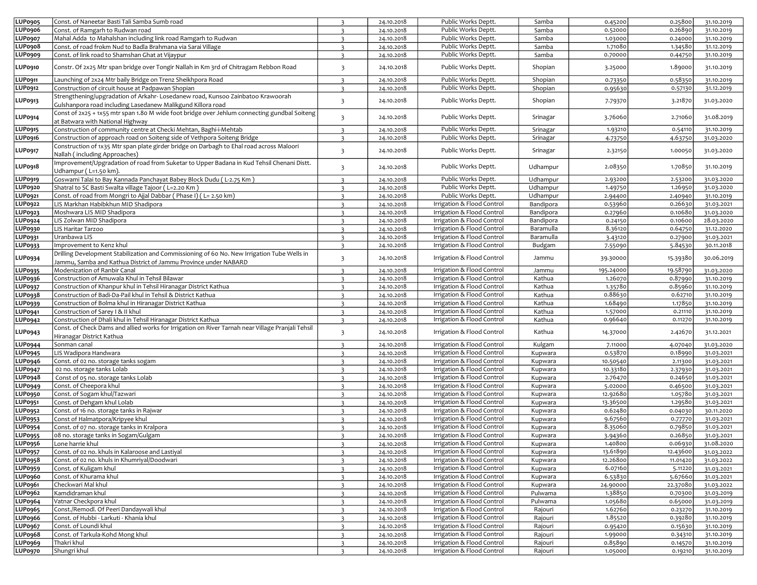| LUP0905        | Const. of Naneetar Basti Tali Samba Sumb road                                                                                                                  | $\overline{3}$          | 24.10.2018 | Public Works Deptt.        | Samba     | 0.45200   | 0.25800  | 31.10.2019 |
|----------------|----------------------------------------------------------------------------------------------------------------------------------------------------------------|-------------------------|------------|----------------------------|-----------|-----------|----------|------------|
| LUPo906        | Const. of Ramgarh to Rudwan road                                                                                                                               | $\overline{\mathbf{3}}$ | 24.10.2018 | Public Works Deptt.        | Samba     | 0.52000   | 0.26890  | 31.10.2019 |
| LUPo907        | Mahal Adda to Mahalshan including link road Ramgarh to Rudwan                                                                                                  | $\overline{3}$          | 24.10.2018 | Public Works Deptt.        | Samba     | 1.03000   | 0.24000  | 31.10.2019 |
| LUPo908        | Const. of road frokm Nud to Badla Brahmana via Sarai Village                                                                                                   | $\overline{3}$          | 24.10.2018 | Public Works Deptt.        | Samba     | 1.71080   | 1.34580  | 31.12.2019 |
| LUPo909        | Const. of link road to Shamshan Ghat at Vijaypur                                                                                                               | $\overline{3}$          | 24.10.2018 | Public Works Deptt.        | Samba     | 0.70000   | 0.44750  | 31.10.2019 |
| LUPo910        | Constr. Of 2x25 Mtr span bridge over Tongir Nallah in Km 3rd of Chitragam Rebbon Road                                                                          | $\overline{\mathbf{3}}$ | 24.10.2018 | Public Works Deptt.        | Shopian   | 3.25000   | 1.89000  | 31.10.2019 |
| LUPo911        | Launching of 2x24 Mtr baily Bridge on Trenz Sheikhpora Road                                                                                                    | $\overline{3}$          | 24.10.2018 | Public Works Deptt.        | Shopian   | 0.73350   | 0.58350  | 31.10.2019 |
| LUPo912        | Construction of circuit house at Padpawan Shopian                                                                                                              | $\overline{\mathbf{3}}$ | 24.10.2018 | Public Works Deptt.        | Shopian   | 0.95630   | 0.57130  | 31.12.2019 |
|                | Strengthening/upgradation of Arkahr- Losedanew road, Kunsoo Zainbatoo Krawoorah                                                                                |                         |            |                            |           |           |          |            |
| LUP0913        | Gulshanpora road including Lasedanew Malikgund Killora road                                                                                                    | $\overline{\mathbf{3}}$ | 24.10.2018 | Public Works Deptt.        | Shopian   | 7.79370   | 3.21870  | 31.03.2020 |
| LUPo914        | Const of 2x25 + 1x55 mtr span 1.80 M wide foot bridge over Jehlum connecting gundbal Soiteng<br>at Batwara with National Highway                               | $\overline{\mathbf{3}}$ | 24.10.2018 | Public Works Deptt.        | Srinagar  | 3.76060   | 2.71060  | 31.08.2019 |
| LUPo915        | Construction of community centre at Checki Mehtan, Baghi-i-Mehtab                                                                                              | $\overline{\mathbf{3}}$ | 24.10.2018 | Public Works Deptt.        | Srinagar  | 1.93210   | 0.54110  | 31.10.2019 |
| LUPo916        | Construction of approach road on Soiteng side of Vethpora Soiteng Bridge                                                                                       | $\overline{\mathbf{3}}$ | 24.10.2018 | Public Works Deptt.        | Srinagar  | 4.73750   | 4.63750  | 31.03.2020 |
|                | Construction of 1x35 Mtr span plate girder bridge on Darbagh to Ehal road across Maloori                                                                       |                         |            |                            |           |           |          |            |
| LUPo917        | Nallah (including Approaches)                                                                                                                                  | $\overline{\mathbf{3}}$ | 24.10.2018 | Public Works Deptt.        | Srinagar  | 2.32150   | 1.00050  | 31.03.2020 |
| LUPo918        | Improvement/Upgradation of road from Suketar to Upper Badana in Kud Tehsil Chenani Distt.<br>Udhampur (L=1.50 km).                                             | $\overline{\mathbf{3}}$ | 24.10.2018 | Public Works Deptt.        | Udhampur  | 2.08350   | 1.70850  | 31.10.2019 |
| LUP0919        | Goswami Talai to Bay Kannada Panchayat Babey Block Dudu (L-2.75 Km)                                                                                            | $\overline{3}$          | 24.10.2018 | Public Works Deptt.        | Udhampur  | 2.93200   | 2.53200  | 31.03.2020 |
| LUPo920        | Shatral to SC Basti Swalta village Tajoor (L=2.20 Km)                                                                                                          | $\overline{3}$          | 24.10.2018 | Public Works Deptt.        | Udhampur  | 1.49750   | 1.26950  | 31.03.2020 |
| LUP0921        | Const. of road from Mongri to Ajjal Dabbar (Phase I) (L= 2.50 km)                                                                                              | $\overline{3}$          | 24.10.2018 | Public Works Deptt.        | Udhampur  | 2.94400   | 2.40940  | 31.10.2019 |
| <b>LUP0922</b> | LIS Markhan Habibkhun MID Shadipora                                                                                                                            | $\overline{3}$          | 24.10.2018 | Irrigation & Flood Control | Bandipora | 0.53960   | 0.26630  | 31.03.2021 |
| LUP0923        | Moshwara LIS MID Shadipora                                                                                                                                     | $\overline{3}$          | 24.10.2018 | Irrigation & Flood Control | Bandipora | 0.27960   | 0.10680  | 31.03.2020 |
| <b>LUP0924</b> | LIS Zolwan MID Shadipora                                                                                                                                       | $\overline{3}$          | 24.10.2018 | Irrigation & Flood Control | Bandipora | 0.24150   | 0.10600  | 28.03.2020 |
| LUP0930        | LIS Haritar Tarzoo                                                                                                                                             | $\overline{\mathbf{3}}$ | 24.10.2018 | Irrigation & Flood Control | Baramulla | 8.36120   | 0.64750  | 31.12.2020 |
| LUP0931        | Uranbawa LIS                                                                                                                                                   | $\overline{3}$          | 24.10.2018 | Irrigation & Flood Control | Baramulla | 3.43120   | 0.27900  | 31.03.2021 |
| LUP0933        | Improvement to Kenz khul                                                                                                                                       | $\overline{3}$          | 24.10.2018 | Irrigation & Flood Control | Budgam    | 7.55090   | 5.8453c  | 30.11.2018 |
| <b>LUP0934</b> | Drilling Development Stabilization and Commissioning of 60 No. New Irrigation Tube Wells in<br>Jammu, Samba and Kathua District of Jammu Province under NABARD | $\overline{\mathbf{3}}$ | 24.10.2018 | Irrigation & Flood Control | Jammu     | 39.30000  | 15.39380 | 30.06.2019 |
| <b>LUP0935</b> | Modenization of Ranbir Canal                                                                                                                                   | $\overline{3}$          | 24.10.2018 | Irrigation & Flood Control | Jammu     | 195.24000 | 19.58790 | 31.03.2020 |
| LUP0936        | Construction of Amuwala Khul in Tehsil Bilawar                                                                                                                 | $\overline{\mathbf{3}}$ | 24.10.2018 | Irrigation & Flood Control | Kathua    | 1.26070   | 0.87990  | 31.10.2019 |
| <b>LUP0937</b> | Construction of Khanpur khul in Tehsil Hiranagar District Kathua                                                                                               | $\overline{3}$          | 24.10.2018 | Irrigation & Flood Control | Kathua    | 1.35780   | 0.85960  | 31.10.2019 |
| LUP0938        | Construction of Badi-Da-Pail khul in Tehsil & District Kathua                                                                                                  | $\overline{3}$          | 24.10.2018 | Irrigation & Flood Control | Kathua    | 0.88630   | 0.62710  | 31.10.2019 |
| <b>LUP0939</b> | Construction of Bolma khul in Hiranagar District Kathua                                                                                                        | $\overline{3}$          | 24.10.2018 | Irrigation & Flood Control | Kathua    | 1.68490   | 1.17850  | 31.10.2019 |
| <b>LUP0941</b> | Construction of Sarey I & II khul                                                                                                                              | $\overline{\mathbf{3}}$ | 24.10.2018 | Irrigation & Flood Control | Kathua    | 1.57000   | 0.21110  | 31.10.2019 |
| <b>LUP0942</b> | Construction of Dhali khul in Tehsil Hiranagar District Kathua                                                                                                 | $\overline{3}$          | 24.10.2018 | Irrigation & Flood Control | Kathua    | 0.96640   | 0.11270  | 31.10.2019 |
| <b>LUP0943</b> | Const. of Check Dams and allied works for Irrigation on River Tarnah near Village Pranjali Tehsil<br>Hiranagar District Kathua                                 | $\overline{\mathbf{3}}$ | 24.10.2018 | Irrigation & Flood Control | Kathua    | 14.37000  | 2.42670  | 31.12.2021 |
| LUPo944        | Sonman canal                                                                                                                                                   | $\overline{3}$          | 24.10.2018 | Irrigation & Flood Control | Kulgam    | 7.11000   | 4.07040  | 31.03.2020 |
| <b>LUP0945</b> | LIS Wadipora Handwara                                                                                                                                          | $\overline{3}$          | 24.10.2018 | Irrigation & Flood Control | Kupwara   | 0.53870   | 0.18990  | 31.03.2021 |
| LUPo946        | Const. of 02 no. storage tanks sogam                                                                                                                           | $\overline{\mathbf{3}}$ | 24.10.2018 | Irrigation & Flood Control | Kupwara   | 10.50540  | 2.11300  | 31.03.2021 |
| <b>LUP0947</b> | 02 no. storage tanks Lolab                                                                                                                                     | $\overline{\mathbf{3}}$ | 24.10.2018 | Irrigation & Flood Control | Kupwara   | 10.33180  | 2.37930  | 31.03.2021 |
| LUPo948        | Const of 05 no. storage tanks Lolab                                                                                                                            | $\overline{\mathbf{3}}$ | 24.10.2018 | Irrigation & Flood Control | Kupwara   | 2.76470   | 0.24650  | 31.03.2021 |
| <b>LUP0949</b> | Const. of Cheepora khul                                                                                                                                        | $\overline{3}$          | 24.10.2018 | Irrigation & Flood Control | Kupwara   | 5.02000   | 0.46500  | 31.03.2021 |
| LUPo950        | Const. of Sogam khul/Tazwari                                                                                                                                   | $\overline{3}$          | 24.10.2018 | Irrigation & Flood Control | Kupwara   | 12.92680  | 1.05780  | 31.03.2021 |
| <b>LUP0951</b> | Const. of Dehgam khul Lolab                                                                                                                                    | $\overline{3}$          | 24.10.2018 | Irrigation & Flood Control | Kupwara   | 13.36500  | 1.29580  | 31.03.2021 |
| <b>LUP0952</b> | Const. of 16 no. storage tanks in Rajwar                                                                                                                       | $\overline{3}$          | 24.10.2018 | Irrigation & Flood Control | Kupwara   | 0.62480   | 0.04030  | 30.11.2020 |
| <b>LUP0953</b> | Const of Halmatpora/Kripyee khul                                                                                                                               | $\overline{3}$          | 24.10.2018 | Irrigation & Flood Control | Kupwara   | 9.67560   | 0.77770  | 31.03.2021 |
| <b>LUP0954</b> | Const. of 07 no. storage tanks in Kralpora                                                                                                                     | $\overline{3}$          | 24.10.2018 | Irrigation & Flood Control | Kupwara   | 8.35060   | 0.79850  | 31.03.2021 |
| <b>LUP0955</b> | 08 no. storage tanks in Sogam/Gulgam                                                                                                                           | $\overline{3}$          | 24.10.2018 | Irrigation & Flood Control | Kupwara   | 3.94360   | 0.26850  | 31.03.2021 |
| LUPo956        | Lone harrie khul                                                                                                                                               | $\overline{\mathbf{3}}$ | 24.10.2018 | Irrigation & Flood Control | Kupwara   | 1.40800   | 0.06930  | 31.08.2020 |
| <b>LUP0957</b> | Const. of 02 no. khuls in Kalaroose and Lastiyal                                                                                                               | $\overline{\mathbf{3}}$ | 24.10.2018 | Irrigation & Flood Control | Kupwara   | 13.61890  | 12.43600 | 31.03.2022 |
| <b>LUP0958</b> | Const. of 02 no. khuls in Khumriyal/Doodwari                                                                                                                   | $\overline{\mathbf{3}}$ | 24.10.2018 | Irrigation & Flood Control | Kupwara   | 12.26800  | 11.01420 | 31.03.2022 |
| <b>LUP0959</b> | Const. of Kuligam khul                                                                                                                                         | $\overline{\mathbf{3}}$ | 24.10.2018 | Irrigation & Flood Control | Kupwara   | 6.07160   | 5.11220  | 31.03.2021 |
| LUPo960        | Const. of Khurama khul                                                                                                                                         | $\overline{\mathbf{3}}$ | 24.10.2018 | Irrigation & Flood Control | Kupwara   | 6.53830   | 5.67660  | 31.03.2021 |
| LUPo961        | Checkwari Mal khul                                                                                                                                             | $\overline{3}$          | 24.10.2018 | Irrigation & Flood Control | Kupwara   | 24.90000  | 22.37080 | 31.03.2022 |
| LUP0962        | Kamdidraman khul                                                                                                                                               | $\overline{\mathbf{3}}$ | 24.10.2018 | Irrigation & Flood Control | Pulwama   | 1.38850   | 0.70300  | 31.03.2019 |
| LUPo964        | Vatnar Checkpora khul                                                                                                                                          | $\overline{3}$          | 24.10.2018 | Irrigation & Flood Control | Pulwama   | 1.05680   | 0.65000  | 31.03.2019 |
| <b>LUP0965</b> | Const./Remodl. Of Peeri Dandaywali khul                                                                                                                        | $\overline{\mathbf{3}}$ | 24.10.2018 | Irrigation & Flood Control | Rajouri   | 1.62760   | 0.23270  | 31.10.2019 |
| LUPo966        | Const. of Hubbi - Larkuti - Khania khul                                                                                                                        | $\overline{\mathbf{3}}$ | 24.10.2018 | Irrigation & Flood Control | Rajouri   | 1.85520   | 0.39280  | 31.10.2019 |
| <b>LUPo967</b> | Const. of Loundi khul                                                                                                                                          | $\overline{\mathbf{3}}$ | 24.10.2018 | Irrigation & Flood Control | Rajouri   | 0.95420   | 0.15630  | 31.10.2019 |
| LUPo968        | Const. of Tarkula-Kohd Mong khul                                                                                                                               | $\overline{\mathbf{3}}$ | 24.10.2018 | Irrigation & Flood Control | Rajouri   | 1.99000   | 0.34310  | 31.10.2019 |
| LUPo969        | Thakri khul                                                                                                                                                    | $\overline{\mathbf{3}}$ | 24.10.2018 | Irrigation & Flood Control | Rajouri   | 0.85890   | 0.14570  | 31.10.2019 |
| LUP0970        | Shungri khul                                                                                                                                                   | $\overline{\mathbf{3}}$ | 24.10.2018 | Irrigation & Flood Control | Rajouri   | 1.05000   | 0.19210  | 31.10.2019 |